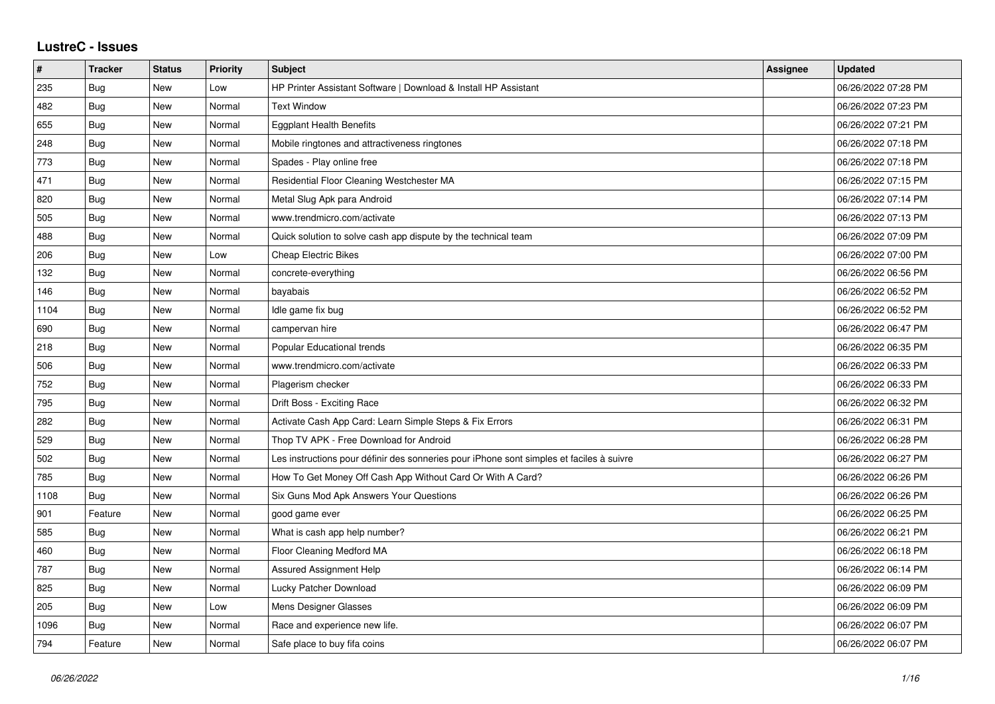## **LustreC - Issues**

| #    | <b>Tracker</b> | <b>Status</b> | <b>Priority</b> | <b>Subject</b>                                                                           | Assignee | <b>Updated</b>      |
|------|----------------|---------------|-----------------|------------------------------------------------------------------------------------------|----------|---------------------|
| 235  | Bug            | <b>New</b>    | Low             | HP Printer Assistant Software   Download & Install HP Assistant                          |          | 06/26/2022 07:28 PM |
| 482  | Bug            | New           | Normal          | <b>Text Window</b>                                                                       |          | 06/26/2022 07:23 PM |
| 655  | Bug            | New           | Normal          | <b>Eggplant Health Benefits</b>                                                          |          | 06/26/2022 07:21 PM |
| 248  | <b>Bug</b>     | <b>New</b>    | Normal          | Mobile ringtones and attractiveness ringtones                                            |          | 06/26/2022 07:18 PM |
| 773  | Bug            | New           | Normal          | Spades - Play online free                                                                |          | 06/26/2022 07:18 PM |
| 471  | Bug            | New           | Normal          | Residential Floor Cleaning Westchester MA                                                |          | 06/26/2022 07:15 PM |
| 820  | <b>Bug</b>     | <b>New</b>    | Normal          | Metal Slug Apk para Android                                                              |          | 06/26/2022 07:14 PM |
| 505  | Bug            | New           | Normal          | www.trendmicro.com/activate                                                              |          | 06/26/2022 07:13 PM |
| 488  | Bug            | New           | Normal          | Quick solution to solve cash app dispute by the technical team                           |          | 06/26/2022 07:09 PM |
| 206  | Bug            | New           | Low             | <b>Cheap Electric Bikes</b>                                                              |          | 06/26/2022 07:00 PM |
| 132  | Bug            | New           | Normal          | concrete-everything                                                                      |          | 06/26/2022 06:56 PM |
| 146  | Bug            | New           | Normal          | bayabais                                                                                 |          | 06/26/2022 06:52 PM |
| 1104 | Bug            | New           | Normal          | Idle game fix bug                                                                        |          | 06/26/2022 06:52 PM |
| 690  | Bug            | New           | Normal          | campervan hire                                                                           |          | 06/26/2022 06:47 PM |
| 218  | <b>Bug</b>     | <b>New</b>    | Normal          | Popular Educational trends                                                               |          | 06/26/2022 06:35 PM |
| 506  | Bug            | New           | Normal          | www.trendmicro.com/activate                                                              |          | 06/26/2022 06:33 PM |
| 752  | Bug            | New           | Normal          | Plagerism checker                                                                        |          | 06/26/2022 06:33 PM |
| 795  | Bug            | <b>New</b>    | Normal          | Drift Boss - Exciting Race                                                               |          | 06/26/2022 06:32 PM |
| 282  | Bug            | <b>New</b>    | Normal          | Activate Cash App Card: Learn Simple Steps & Fix Errors                                  |          | 06/26/2022 06:31 PM |
| 529  | Bug            | New           | Normal          | Thop TV APK - Free Download for Android                                                  |          | 06/26/2022 06:28 PM |
| 502  | Bug            | <b>New</b>    | Normal          | Les instructions pour définir des sonneries pour iPhone sont simples et faciles à suivre |          | 06/26/2022 06:27 PM |
| 785  | Bug            | <b>New</b>    | Normal          | How To Get Money Off Cash App Without Card Or With A Card?                               |          | 06/26/2022 06:26 PM |
| 1108 | Bug            | New           | Normal          | Six Guns Mod Apk Answers Your Questions                                                  |          | 06/26/2022 06:26 PM |
| 901  | Feature        | New           | Normal          | good game ever                                                                           |          | 06/26/2022 06:25 PM |
| 585  | Bug            | <b>New</b>    | Normal          | What is cash app help number?                                                            |          | 06/26/2022 06:21 PM |
| 460  | Bug            | New           | Normal          | Floor Cleaning Medford MA                                                                |          | 06/26/2022 06:18 PM |
| 787  | Bug            | <b>New</b>    | Normal          | Assured Assignment Help                                                                  |          | 06/26/2022 06:14 PM |
| 825  | Bug            | New           | Normal          | Lucky Patcher Download                                                                   |          | 06/26/2022 06:09 PM |
| 205  | Bug            | <b>New</b>    | Low             | Mens Designer Glasses                                                                    |          | 06/26/2022 06:09 PM |
| 1096 | Bug            | <b>New</b>    | Normal          | Race and experience new life.                                                            |          | 06/26/2022 06:07 PM |
| 794  | Feature        | <b>New</b>    | Normal          | Safe place to buy fifa coins                                                             |          | 06/26/2022 06:07 PM |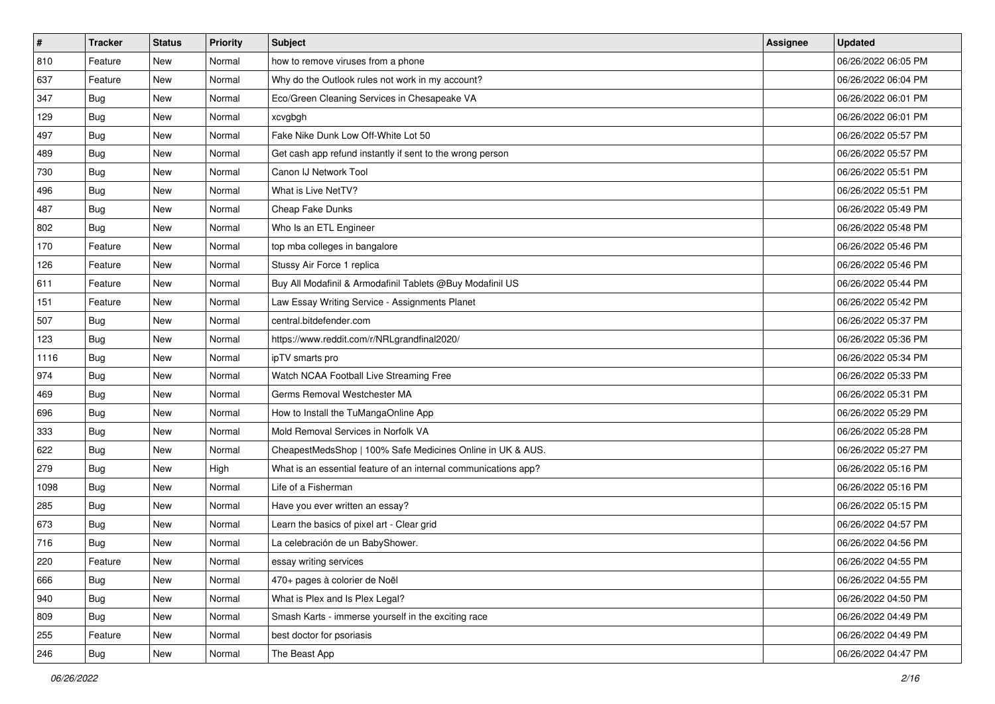| $\pmb{\#}$ | <b>Tracker</b> | <b>Status</b> | <b>Priority</b> | <b>Subject</b>                                                  | Assignee | <b>Updated</b>      |
|------------|----------------|---------------|-----------------|-----------------------------------------------------------------|----------|---------------------|
| 810        | Feature        | New           | Normal          | how to remove viruses from a phone                              |          | 06/26/2022 06:05 PM |
| 637        | Feature        | <b>New</b>    | Normal          | Why do the Outlook rules not work in my account?                |          | 06/26/2022 06:04 PM |
| 347        | Bug            | New           | Normal          | Eco/Green Cleaning Services in Chesapeake VA                    |          | 06/26/2022 06:01 PM |
| 129        | <b>Bug</b>     | New           | Normal          | xcvgbgh                                                         |          | 06/26/2022 06:01 PM |
| 497        | Bug            | New           | Normal          | Fake Nike Dunk Low Off-White Lot 50                             |          | 06/26/2022 05:57 PM |
| 489        | <b>Bug</b>     | New           | Normal          | Get cash app refund instantly if sent to the wrong person       |          | 06/26/2022 05:57 PM |
| 730        | Bug            | New           | Normal          | Canon IJ Network Tool                                           |          | 06/26/2022 05:51 PM |
| 496        | <b>Bug</b>     | New           | Normal          | What is Live NetTV?                                             |          | 06/26/2022 05:51 PM |
| 487        | <b>Bug</b>     | New           | Normal          | Cheap Fake Dunks                                                |          | 06/26/2022 05:49 PM |
| 802        | <b>Bug</b>     | <b>New</b>    | Normal          | Who Is an ETL Engineer                                          |          | 06/26/2022 05:48 PM |
| 170        | Feature        | New           | Normal          | top mba colleges in bangalore                                   |          | 06/26/2022 05:46 PM |
| 126        | Feature        | New           | Normal          | Stussy Air Force 1 replica                                      |          | 06/26/2022 05:46 PM |
| 611        | Feature        | New           | Normal          | Buy All Modafinil & Armodafinil Tablets @Buy Modafinil US       |          | 06/26/2022 05:44 PM |
| 151        | Feature        | New           | Normal          | Law Essay Writing Service - Assignments Planet                  |          | 06/26/2022 05:42 PM |
| 507        | Bug            | <b>New</b>    | Normal          | central.bitdefender.com                                         |          | 06/26/2022 05:37 PM |
| 123        | <b>Bug</b>     | New           | Normal          | https://www.reddit.com/r/NRLgrandfinal2020/                     |          | 06/26/2022 05:36 PM |
| 1116       | <b>Bug</b>     | New           | Normal          | ipTV smarts pro                                                 |          | 06/26/2022 05:34 PM |
| 974        | Bug            | New           | Normal          | Watch NCAA Football Live Streaming Free                         |          | 06/26/2022 05:33 PM |
| 469        | <b>Bug</b>     | New           | Normal          | Germs Removal Westchester MA                                    |          | 06/26/2022 05:31 PM |
| 696        | Bug            | <b>New</b>    | Normal          | How to Install the TuMangaOnline App                            |          | 06/26/2022 05:29 PM |
| 333        | <b>Bug</b>     | New           | Normal          | Mold Removal Services in Norfolk VA                             |          | 06/26/2022 05:28 PM |
| 622        | <b>Bug</b>     | New           | Normal          | CheapestMedsShop   100% Safe Medicines Online in UK & AUS.      |          | 06/26/2022 05:27 PM |
| 279        | Bug            | New           | High            | What is an essential feature of an internal communications app? |          | 06/26/2022 05:16 PM |
| 1098       | Bug            | New           | Normal          | Life of a Fisherman                                             |          | 06/26/2022 05:16 PM |
| 285        | Bug            | New           | Normal          | Have you ever written an essay?                                 |          | 06/26/2022 05:15 PM |
| 673        | <b>Bug</b>     | New           | Normal          | Learn the basics of pixel art - Clear grid                      |          | 06/26/2022 04:57 PM |
| 716        | <b>Bug</b>     | New           | Normal          | La celebración de un BabyShower.                                |          | 06/26/2022 04:56 PM |
| 220        | Feature        | New           | Normal          | essay writing services                                          |          | 06/26/2022 04:55 PM |
| 666        | Bug            | New           | Normal          | 470+ pages à colorier de Noël                                   |          | 06/26/2022 04:55 PM |
| 940        | Bug            | New           | Normal          | What is Plex and Is Plex Legal?                                 |          | 06/26/2022 04:50 PM |
| 809        | Bug            | New           | Normal          | Smash Karts - immerse yourself in the exciting race             |          | 06/26/2022 04:49 PM |
| 255        | Feature        | New           | Normal          | best doctor for psoriasis                                       |          | 06/26/2022 04:49 PM |
| 246        | Bug            | New           | Normal          | The Beast App                                                   |          | 06/26/2022 04:47 PM |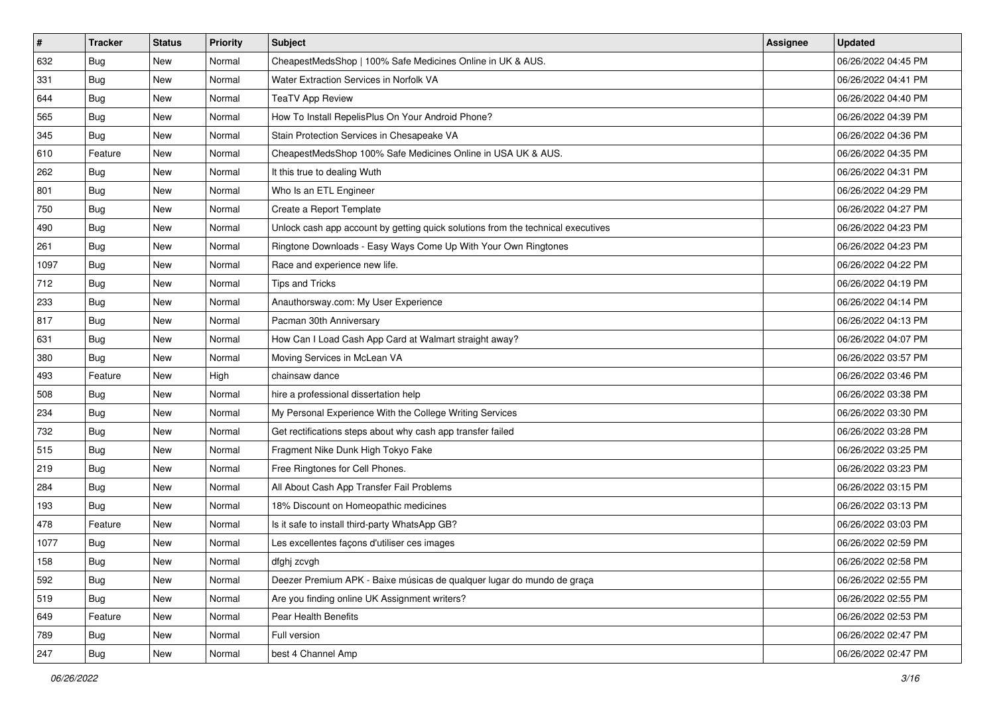| $\sharp$ | <b>Tracker</b> | <b>Status</b> | <b>Priority</b> | Subject                                                                          | <b>Assignee</b> | <b>Updated</b>      |
|----------|----------------|---------------|-----------------|----------------------------------------------------------------------------------|-----------------|---------------------|
| 632      | <b>Bug</b>     | New           | Normal          | CheapestMedsShop   100% Safe Medicines Online in UK & AUS.                       |                 | 06/26/2022 04:45 PM |
| 331      | Bug            | New           | Normal          | Water Extraction Services in Norfolk VA                                          |                 | 06/26/2022 04:41 PM |
| 644      | Bug            | New           | Normal          | <b>TeaTV App Review</b>                                                          |                 | 06/26/2022 04:40 PM |
| 565      | <b>Bug</b>     | New           | Normal          | How To Install RepelisPlus On Your Android Phone?                                |                 | 06/26/2022 04:39 PM |
| 345      | Bug            | New           | Normal          | Stain Protection Services in Chesapeake VA                                       |                 | 06/26/2022 04:36 PM |
| 610      | Feature        | New           | Normal          | CheapestMedsShop 100% Safe Medicines Online in USA UK & AUS.                     |                 | 06/26/2022 04:35 PM |
| 262      | Bug            | New           | Normal          | It this true to dealing Wuth                                                     |                 | 06/26/2022 04:31 PM |
| 801      | <b>Bug</b>     | New           | Normal          | Who Is an ETL Engineer                                                           |                 | 06/26/2022 04:29 PM |
| 750      | Bug            | New           | Normal          | Create a Report Template                                                         |                 | 06/26/2022 04:27 PM |
| 490      | <b>Bug</b>     | New           | Normal          | Unlock cash app account by getting quick solutions from the technical executives |                 | 06/26/2022 04:23 PM |
| 261      | <b>Bug</b>     | New           | Normal          | Ringtone Downloads - Easy Ways Come Up With Your Own Ringtones                   |                 | 06/26/2022 04:23 PM |
| 1097     | Bug            | New           | Normal          | Race and experience new life.                                                    |                 | 06/26/2022 04:22 PM |
| 712      | Bug            | New           | Normal          | Tips and Tricks                                                                  |                 | 06/26/2022 04:19 PM |
| 233      | <b>Bug</b>     | New           | Normal          | Anauthorsway.com: My User Experience                                             |                 | 06/26/2022 04:14 PM |
| 817      | Bug            | New           | Normal          | Pacman 30th Anniversary                                                          |                 | 06/26/2022 04:13 PM |
| 631      | Bug            | New           | Normal          | How Can I Load Cash App Card at Walmart straight away?                           |                 | 06/26/2022 04:07 PM |
| 380      | <b>Bug</b>     | New           | Normal          | Moving Services in McLean VA                                                     |                 | 06/26/2022 03:57 PM |
| 493      | Feature        | New           | High            | chainsaw dance                                                                   |                 | 06/26/2022 03:46 PM |
| 508      | <b>Bug</b>     | New           | Normal          | hire a professional dissertation help                                            |                 | 06/26/2022 03:38 PM |
| 234      | Bug            | New           | Normal          | My Personal Experience With the College Writing Services                         |                 | 06/26/2022 03:30 PM |
| 732      | Bug            | New           | Normal          | Get rectifications steps about why cash app transfer failed                      |                 | 06/26/2022 03:28 PM |
| 515      | Bug            | New           | Normal          | Fragment Nike Dunk High Tokyo Fake                                               |                 | 06/26/2022 03:25 PM |
| 219      | Bug            | New           | Normal          | Free Ringtones for Cell Phones.                                                  |                 | 06/26/2022 03:23 PM |
| 284      | <b>Bug</b>     | New           | Normal          | All About Cash App Transfer Fail Problems                                        |                 | 06/26/2022 03:15 PM |
| 193      | Bug            | New           | Normal          | 18% Discount on Homeopathic medicines                                            |                 | 06/26/2022 03:13 PM |
| 478      | Feature        | New           | Normal          | Is it safe to install third-party WhatsApp GB?                                   |                 | 06/26/2022 03:03 PM |
| 1077     | Bug            | New           | Normal          | Les excellentes façons d'utiliser ces images                                     |                 | 06/26/2022 02:59 PM |
| 158      | <b>Bug</b>     | New           | Normal          | dfghj zcvgh                                                                      |                 | 06/26/2022 02:58 PM |
| 592      | Bug            | New           | Normal          | Deezer Premium APK - Baixe músicas de qualquer lugar do mundo de graça           |                 | 06/26/2022 02:55 PM |
| 519      | <b>Bug</b>     | New           | Normal          | Are you finding online UK Assignment writers?                                    |                 | 06/26/2022 02:55 PM |
| 649      | Feature        | New           | Normal          | Pear Health Benefits                                                             |                 | 06/26/2022 02:53 PM |
| 789      | Bug            | New           | Normal          | Full version                                                                     |                 | 06/26/2022 02:47 PM |
| 247      | <b>Bug</b>     | New           | Normal          | best 4 Channel Amp                                                               |                 | 06/26/2022 02:47 PM |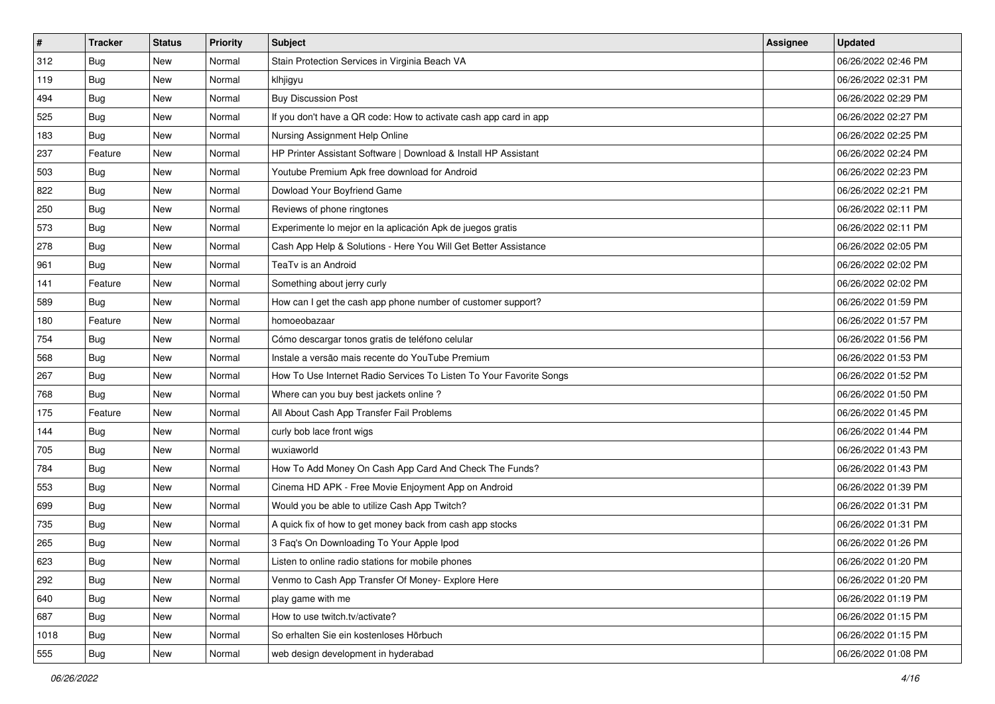| $\vert$ # | <b>Tracker</b> | <b>Status</b> | <b>Priority</b> | Subject                                                             | Assignee | <b>Updated</b>      |
|-----------|----------------|---------------|-----------------|---------------------------------------------------------------------|----------|---------------------|
| 312       | <b>Bug</b>     | New           | Normal          | Stain Protection Services in Virginia Beach VA                      |          | 06/26/2022 02:46 PM |
| 119       | Bug            | New           | Normal          | klhjigyu                                                            |          | 06/26/2022 02:31 PM |
| 494       | Bug            | New           | Normal          | <b>Buy Discussion Post</b>                                          |          | 06/26/2022 02:29 PM |
| 525       | Bug            | <b>New</b>    | Normal          | If you don't have a QR code: How to activate cash app card in app   |          | 06/26/2022 02:27 PM |
| 183       | Bug            | New           | Normal          | Nursing Assignment Help Online                                      |          | 06/26/2022 02:25 PM |
| 237       | Feature        | New           | Normal          | HP Printer Assistant Software   Download & Install HP Assistant     |          | 06/26/2022 02:24 PM |
| 503       | Bug            | New           | Normal          | Youtube Premium Apk free download for Android                       |          | 06/26/2022 02:23 PM |
| 822       | <b>Bug</b>     | New           | Normal          | Dowload Your Boyfriend Game                                         |          | 06/26/2022 02:21 PM |
| 250       | Bug            | New           | Normal          | Reviews of phone ringtones                                          |          | 06/26/2022 02:11 PM |
| 573       | Bug            | New           | Normal          | Experimente lo mejor en la aplicación Apk de juegos gratis          |          | 06/26/2022 02:11 PM |
| 278       | <b>Bug</b>     | New           | Normal          | Cash App Help & Solutions - Here You Will Get Better Assistance     |          | 06/26/2022 02:05 PM |
| 961       | Bug            | New           | Normal          | TeaTv is an Android                                                 |          | 06/26/2022 02:02 PM |
| 141       | Feature        | New           | Normal          | Something about jerry curly                                         |          | 06/26/2022 02:02 PM |
| 589       | Bug            | New           | Normal          | How can I get the cash app phone number of customer support?        |          | 06/26/2022 01:59 PM |
| 180       | Feature        | New           | Normal          | homoeobazaar                                                        |          | 06/26/2022 01:57 PM |
| 754       | Bug            | New           | Normal          | Cómo descargar tonos gratis de teléfono celular                     |          | 06/26/2022 01:56 PM |
| 568       | Bug            | New           | Normal          | Instale a versão mais recente do YouTube Premium                    |          | 06/26/2022 01:53 PM |
| 267       | Bug            | New           | Normal          | How To Use Internet Radio Services To Listen To Your Favorite Songs |          | 06/26/2022 01:52 PM |
| 768       | Bug            | New           | Normal          | Where can you buy best jackets online?                              |          | 06/26/2022 01:50 PM |
| 175       | Feature        | New           | Normal          | All About Cash App Transfer Fail Problems                           |          | 06/26/2022 01:45 PM |
| 144       | Bug            | New           | Normal          | curly bob lace front wigs                                           |          | 06/26/2022 01:44 PM |
| 705       | Bug            | New           | Normal          | wuxiaworld                                                          |          | 06/26/2022 01:43 PM |
| 784       | Bug            | New           | Normal          | How To Add Money On Cash App Card And Check The Funds?              |          | 06/26/2022 01:43 PM |
| 553       | <b>Bug</b>     | New           | Normal          | Cinema HD APK - Free Movie Enjoyment App on Android                 |          | 06/26/2022 01:39 PM |
| 699       | Bug            | New           | Normal          | Would you be able to utilize Cash App Twitch?                       |          | 06/26/2022 01:31 PM |
| 735       | Bug            | New           | Normal          | A quick fix of how to get money back from cash app stocks           |          | 06/26/2022 01:31 PM |
| 265       | Bug            | New           | Normal          | 3 Faq's On Downloading To Your Apple Ipod                           |          | 06/26/2022 01:26 PM |
| 623       | i Bug          | New           | Normal          | Listen to online radio stations for mobile phones                   |          | 06/26/2022 01:20 PM |
| 292       | <b>Bug</b>     | New           | Normal          | Venmo to Cash App Transfer Of Money- Explore Here                   |          | 06/26/2022 01:20 PM |
| 640       | <b>Bug</b>     | New           | Normal          | play game with me                                                   |          | 06/26/2022 01:19 PM |
| 687       | <b>Bug</b>     | New           | Normal          | How to use twitch.tv/activate?                                      |          | 06/26/2022 01:15 PM |
| 1018      | Bug            | New           | Normal          | So erhalten Sie ein kostenloses Hörbuch                             |          | 06/26/2022 01:15 PM |
| 555       | <b>Bug</b>     | New           | Normal          | web design development in hyderabad                                 |          | 06/26/2022 01:08 PM |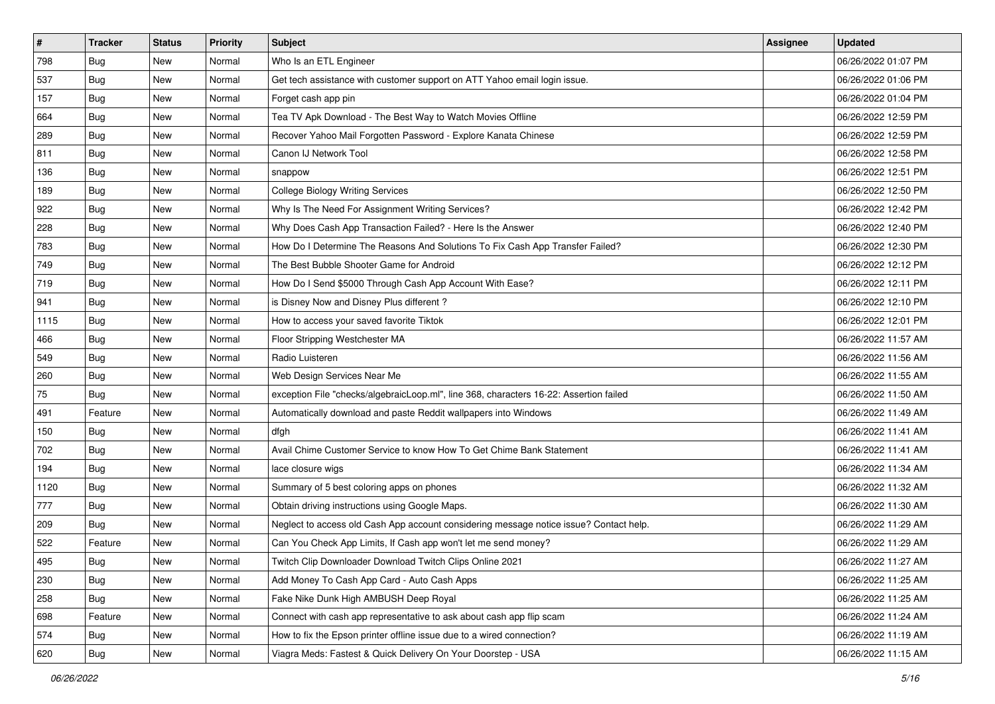| #    | <b>Tracker</b> | <b>Status</b> | Priority | Subject                                                                                | Assignee | <b>Updated</b>      |
|------|----------------|---------------|----------|----------------------------------------------------------------------------------------|----------|---------------------|
| 798  | <b>Bug</b>     | New           | Normal   | Who Is an ETL Engineer                                                                 |          | 06/26/2022 01:07 PM |
| 537  | Bug            | New           | Normal   | Get tech assistance with customer support on ATT Yahoo email login issue.              |          | 06/26/2022 01:06 PM |
| 157  | <b>Bug</b>     | New           | Normal   | Forget cash app pin                                                                    |          | 06/26/2022 01:04 PM |
| 664  | <b>Bug</b>     | New           | Normal   | Tea TV Apk Download - The Best Way to Watch Movies Offline                             |          | 06/26/2022 12:59 PM |
| 289  | Bug            | New           | Normal   | Recover Yahoo Mail Forgotten Password - Explore Kanata Chinese                         |          | 06/26/2022 12:59 PM |
| 811  | <b>Bug</b>     | New           | Normal   | Canon IJ Network Tool                                                                  |          | 06/26/2022 12:58 PM |
| 136  | <b>Bug</b>     | New           | Normal   | snappow                                                                                |          | 06/26/2022 12:51 PM |
| 189  | <b>Bug</b>     | New           | Normal   | College Biology Writing Services                                                       |          | 06/26/2022 12:50 PM |
| 922  | Bug            | New           | Normal   | Why Is The Need For Assignment Writing Services?                                       |          | 06/26/2022 12:42 PM |
| 228  | Bug            | New           | Normal   | Why Does Cash App Transaction Failed? - Here Is the Answer                             |          | 06/26/2022 12:40 PM |
| 783  | <b>Bug</b>     | New           | Normal   | How Do I Determine The Reasons And Solutions To Fix Cash App Transfer Failed?          |          | 06/26/2022 12:30 PM |
| 749  | Bug            | New           | Normal   | The Best Bubble Shooter Game for Android                                               |          | 06/26/2022 12:12 PM |
| 719  | Bug            | New           | Normal   | How Do I Send \$5000 Through Cash App Account With Ease?                               |          | 06/26/2022 12:11 PM |
| 941  | <b>Bug</b>     | New           | Normal   | is Disney Now and Disney Plus different?                                               |          | 06/26/2022 12:10 PM |
| 1115 | <b>Bug</b>     | New           | Normal   | How to access your saved favorite Tiktok                                               |          | 06/26/2022 12:01 PM |
| 466  | Bug            | New           | Normal   | Floor Stripping Westchester MA                                                         |          | 06/26/2022 11:57 AM |
| 549  | <b>Bug</b>     | New           | Normal   | Radio Luisteren                                                                        |          | 06/26/2022 11:56 AM |
| 260  | Bug            | New           | Normal   | Web Design Services Near Me                                                            |          | 06/26/2022 11:55 AM |
| 75   | <b>Bug</b>     | New           | Normal   | exception File "checks/algebraicLoop.ml", line 368, characters 16-22: Assertion failed |          | 06/26/2022 11:50 AM |
| 491  | Feature        | New           | Normal   | Automatically download and paste Reddit wallpapers into Windows                        |          | 06/26/2022 11:49 AM |
| 150  | <b>Bug</b>     | New           | Normal   | dfgh                                                                                   |          | 06/26/2022 11:41 AM |
| 702  | Bug            | New           | Normal   | Avail Chime Customer Service to know How To Get Chime Bank Statement                   |          | 06/26/2022 11:41 AM |
| 194  | Bug            | New           | Normal   | lace closure wigs                                                                      |          | 06/26/2022 11:34 AM |
| 1120 | <b>Bug</b>     | New           | Normal   | Summary of 5 best coloring apps on phones                                              |          | 06/26/2022 11:32 AM |
| 777  | Bug            | New           | Normal   | Obtain driving instructions using Google Maps.                                         |          | 06/26/2022 11:30 AM |
| 209  | <b>Bug</b>     | New           | Normal   | Neglect to access old Cash App account considering message notice issue? Contact help. |          | 06/26/2022 11:29 AM |
| 522  | Feature        | New           | Normal   | Can You Check App Limits, If Cash app won't let me send money?                         |          | 06/26/2022 11:29 AM |
| 495  | Bug            | New           | Normal   | Twitch Clip Downloader Download Twitch Clips Online 2021                               |          | 06/26/2022 11:27 AM |
| 230  | <b>Bug</b>     | New           | Normal   | Add Money To Cash App Card - Auto Cash Apps                                            |          | 06/26/2022 11:25 AM |
| 258  | Bug            | New           | Normal   | Fake Nike Dunk High AMBUSH Deep Royal                                                  |          | 06/26/2022 11:25 AM |
| 698  | Feature        | New           | Normal   | Connect with cash app representative to ask about cash app flip scam                   |          | 06/26/2022 11:24 AM |
| 574  | <b>Bug</b>     | New           | Normal   | How to fix the Epson printer offline issue due to a wired connection?                  |          | 06/26/2022 11:19 AM |
| 620  | <b>Bug</b>     | New           | Normal   | Viagra Meds: Fastest & Quick Delivery On Your Doorstep - USA                           |          | 06/26/2022 11:15 AM |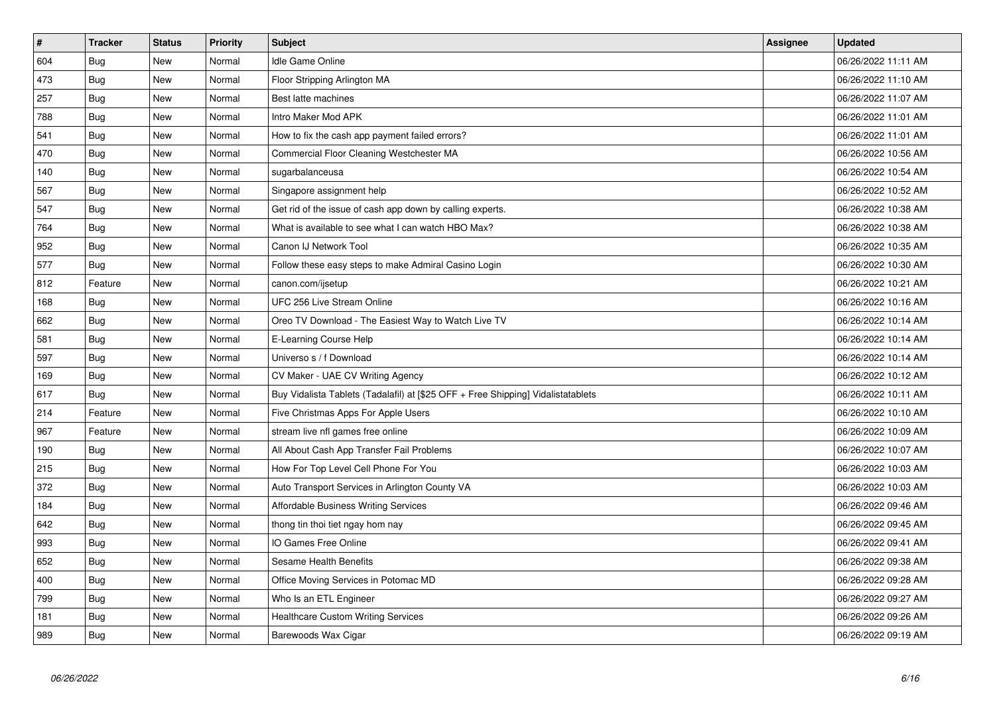| $\vert$ # | <b>Tracker</b> | <b>Status</b> | <b>Priority</b> | <b>Subject</b>                                                                   | <b>Assignee</b> | <b>Updated</b>      |
|-----------|----------------|---------------|-----------------|----------------------------------------------------------------------------------|-----------------|---------------------|
| 604       | <b>Bug</b>     | New           | Normal          | Idle Game Online                                                                 |                 | 06/26/2022 11:11 AM |
| 473       | Bug            | New           | Normal          | Floor Stripping Arlington MA                                                     |                 | 06/26/2022 11:10 AM |
| 257       | Bug            | <b>New</b>    | Normal          | Best latte machines                                                              |                 | 06/26/2022 11:07 AM |
| 788       | Bug            | New           | Normal          | Intro Maker Mod APK                                                              |                 | 06/26/2022 11:01 AM |
| 541       | <b>Bug</b>     | <b>New</b>    | Normal          | How to fix the cash app payment failed errors?                                   |                 | 06/26/2022 11:01 AM |
| 470       | <b>Bug</b>     | <b>New</b>    | Normal          | Commercial Floor Cleaning Westchester MA                                         |                 | 06/26/2022 10:56 AM |
| 140       | <b>Bug</b>     | New           | Normal          | sugarbalanceusa                                                                  |                 | 06/26/2022 10:54 AM |
| 567       | <b>Bug</b>     | New           | Normal          | Singapore assignment help                                                        |                 | 06/26/2022 10:52 AM |
| 547       | <b>Bug</b>     | New           | Normal          | Get rid of the issue of cash app down by calling experts.                        |                 | 06/26/2022 10:38 AM |
| 764       | Bug            | New           | Normal          | What is available to see what I can watch HBO Max?                               |                 | 06/26/2022 10:38 AM |
| 952       | <b>Bug</b>     | New           | Normal          | Canon IJ Network Tool                                                            |                 | 06/26/2022 10:35 AM |
| 577       | Bug            | New           | Normal          | Follow these easy steps to make Admiral Casino Login                             |                 | 06/26/2022 10:30 AM |
| 812       | Feature        | New           | Normal          | canon.com/ijsetup                                                                |                 | 06/26/2022 10:21 AM |
| 168       | Bug            | New           | Normal          | UFC 256 Live Stream Online                                                       |                 | 06/26/2022 10:16 AM |
| 662       | <b>Bug</b>     | New           | Normal          | Oreo TV Download - The Easiest Way to Watch Live TV                              |                 | 06/26/2022 10:14 AM |
| 581       | Bug            | New           | Normal          | E-Learning Course Help                                                           |                 | 06/26/2022 10:14 AM |
| 597       | <b>Bug</b>     | <b>New</b>    | Normal          | Universo s / f Download                                                          |                 | 06/26/2022 10:14 AM |
| 169       | Bug            | New           | Normal          | CV Maker - UAE CV Writing Agency                                                 |                 | 06/26/2022 10:12 AM |
| 617       | <b>Bug</b>     | <b>New</b>    | Normal          | Buy Vidalista Tablets (Tadalafil) at [\$25 OFF + Free Shipping] Vidalistatablets |                 | 06/26/2022 10:11 AM |
| 214       | Feature        | <b>New</b>    | Normal          | Five Christmas Apps For Apple Users                                              |                 | 06/26/2022 10:10 AM |
| 967       | Feature        | <b>New</b>    | Normal          | stream live nfl games free online                                                |                 | 06/26/2022 10:09 AM |
| 190       | Bug            | <b>New</b>    | Normal          | All About Cash App Transfer Fail Problems                                        |                 | 06/26/2022 10:07 AM |
| 215       | Bug            | <b>New</b>    | Normal          | How For Top Level Cell Phone For You                                             |                 | 06/26/2022 10:03 AM |
| 372       | Bug            | New           | Normal          | Auto Transport Services in Arlington County VA                                   |                 | 06/26/2022 10:03 AM |
| 184       | <b>Bug</b>     | <b>New</b>    | Normal          | Affordable Business Writing Services                                             |                 | 06/26/2022 09:46 AM |
| 642       | Bug            | New           | Normal          | thong tin thoi tiet ngay hom nay                                                 |                 | 06/26/2022 09:45 AM |
| 993       | <b>Bug</b>     | <b>New</b>    | Normal          | IO Games Free Online                                                             |                 | 06/26/2022 09:41 AM |
| 652       | Bug            | New           | Normal          | Sesame Health Benefits                                                           |                 | 06/26/2022 09:38 AM |
| 400       | Bug            | New           | Normal          | Office Moving Services in Potomac MD                                             |                 | 06/26/2022 09:28 AM |
| 799       | Bug            | New           | Normal          | Who Is an ETL Engineer                                                           |                 | 06/26/2022 09:27 AM |
| 181       | Bug            | New           | Normal          | <b>Healthcare Custom Writing Services</b>                                        |                 | 06/26/2022 09:26 AM |
| 989       | Bug            | New           | Normal          | Barewoods Wax Cigar                                                              |                 | 06/26/2022 09:19 AM |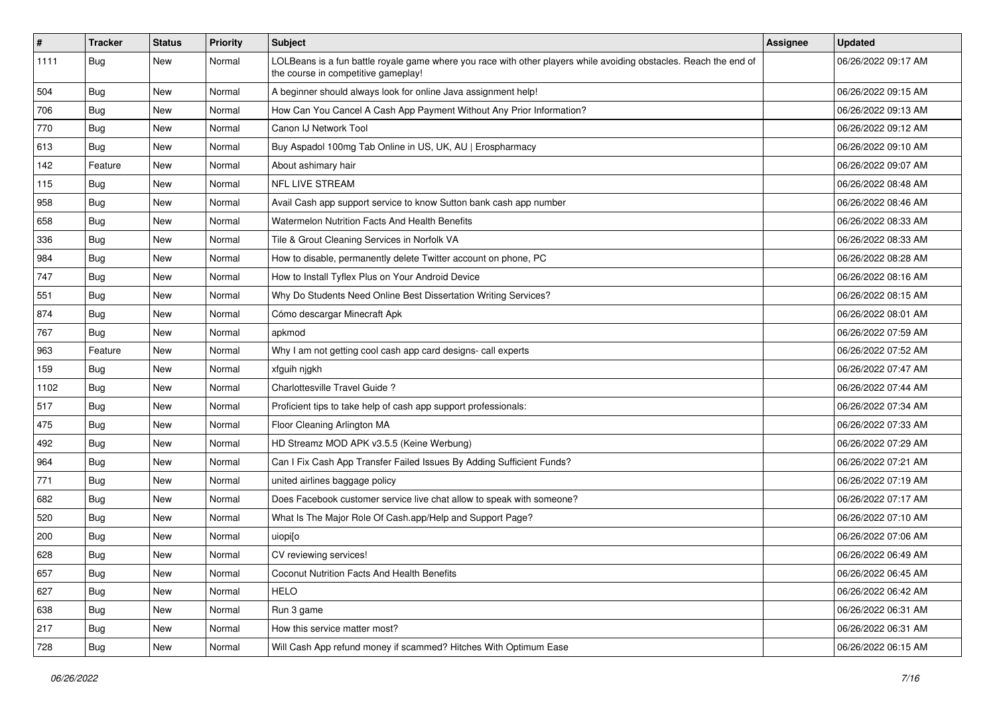| $\vert$ # | <b>Tracker</b> | <b>Status</b> | <b>Priority</b> | Subject                                                                                                                                                  | <b>Assignee</b> | <b>Updated</b>      |
|-----------|----------------|---------------|-----------------|----------------------------------------------------------------------------------------------------------------------------------------------------------|-----------------|---------------------|
| 1111      | <b>Bug</b>     | New           | Normal          | LOLBeans is a fun battle royale game where you race with other players while avoiding obstacles. Reach the end of<br>the course in competitive gameplay! |                 | 06/26/2022 09:17 AM |
| 504       | <b>Bug</b>     | <b>New</b>    | Normal          | A beginner should always look for online Java assignment help!                                                                                           |                 | 06/26/2022 09:15 AM |
| 706       | Bug            | New           | Normal          | How Can You Cancel A Cash App Payment Without Any Prior Information?                                                                                     |                 | 06/26/2022 09:13 AM |
| 770       | <b>Bug</b>     | <b>New</b>    | Normal          | Canon IJ Network Tool                                                                                                                                    |                 | 06/26/2022 09:12 AM |
| 613       | <b>Bug</b>     | New           | Normal          | Buy Aspadol 100mg Tab Online in US, UK, AU   Erospharmacy                                                                                                |                 | 06/26/2022 09:10 AM |
| 142       | Feature        | New           | Normal          | About ashimary hair                                                                                                                                      |                 | 06/26/2022 09:07 AM |
| 115       | Bug            | New           | Normal          | NFL LIVE STREAM                                                                                                                                          |                 | 06/26/2022 08:48 AM |
| 958       | <b>Bug</b>     | New           | Normal          | Avail Cash app support service to know Sutton bank cash app number                                                                                       |                 | 06/26/2022 08:46 AM |
| 658       | <b>Bug</b>     | New           | Normal          | Watermelon Nutrition Facts And Health Benefits                                                                                                           |                 | 06/26/2022 08:33 AM |
| 336       | <b>Bug</b>     | New           | Normal          | Tile & Grout Cleaning Services in Norfolk VA                                                                                                             |                 | 06/26/2022 08:33 AM |
| 984       | <b>Bug</b>     | New           | Normal          | How to disable, permanently delete Twitter account on phone, PC                                                                                          |                 | 06/26/2022 08:28 AM |
| 747       | Bug            | New           | Normal          | How to Install Tyflex Plus on Your Android Device                                                                                                        |                 | 06/26/2022 08:16 AM |
| 551       | <b>Bug</b>     | New           | Normal          | Why Do Students Need Online Best Dissertation Writing Services?                                                                                          |                 | 06/26/2022 08:15 AM |
| 874       | <b>Bug</b>     | New           | Normal          | Cómo descargar Minecraft Apk                                                                                                                             |                 | 06/26/2022 08:01 AM |
| 767       | <b>Bug</b>     | New           | Normal          | apkmod                                                                                                                                                   |                 | 06/26/2022 07:59 AM |
| 963       | Feature        | New           | Normal          | Why I am not getting cool cash app card designs- call experts                                                                                            |                 | 06/26/2022 07:52 AM |
| 159       | Bug            | New           | Normal          | xfguih njgkh                                                                                                                                             |                 | 06/26/2022 07:47 AM |
| 1102      | <b>Bug</b>     | New           | Normal          | Charlottesville Travel Guide?                                                                                                                            |                 | 06/26/2022 07:44 AM |
| 517       | <b>Bug</b>     | New           | Normal          | Proficient tips to take help of cash app support professionals:                                                                                          |                 | 06/26/2022 07:34 AM |
| 475       | Bug            | New           | Normal          | Floor Cleaning Arlington MA                                                                                                                              |                 | 06/26/2022 07:33 AM |
| 492       | <b>Bug</b>     | New           | Normal          | HD Streamz MOD APK v3.5.5 (Keine Werbung)                                                                                                                |                 | 06/26/2022 07:29 AM |
| 964       | <b>Bug</b>     | New           | Normal          | Can I Fix Cash App Transfer Failed Issues By Adding Sufficient Funds?                                                                                    |                 | 06/26/2022 07:21 AM |
| 771       | <b>Bug</b>     | New           | Normal          | united airlines baggage policy                                                                                                                           |                 | 06/26/2022 07:19 AM |
| 682       | <b>Bug</b>     | New           | Normal          | Does Facebook customer service live chat allow to speak with someone?                                                                                    |                 | 06/26/2022 07:17 AM |
| 520       | Bug            | New           | Normal          | What Is The Major Role Of Cash.app/Help and Support Page?                                                                                                |                 | 06/26/2022 07:10 AM |
| 200       | <b>Bug</b>     | New           | Normal          | uiopi <sup>[0</sup>                                                                                                                                      |                 | 06/26/2022 07:06 AM |
| 628       | Bug            | New           | Normal          | CV reviewing services!                                                                                                                                   |                 | 06/26/2022 06:49 AM |
| 657       | Bug            | New           | Normal          | <b>Coconut Nutrition Facts And Health Benefits</b>                                                                                                       |                 | 06/26/2022 06:45 AM |
| 627       | Bug            | New           | Normal          | <b>HELO</b>                                                                                                                                              |                 | 06/26/2022 06:42 AM |
| 638       | <b>Bug</b>     | New           | Normal          | Run 3 game                                                                                                                                               |                 | 06/26/2022 06:31 AM |
| 217       | Bug            | New           | Normal          | How this service matter most?                                                                                                                            |                 | 06/26/2022 06:31 AM |
| 728       | Bug            | New           | Normal          | Will Cash App refund money if scammed? Hitches With Optimum Ease                                                                                         |                 | 06/26/2022 06:15 AM |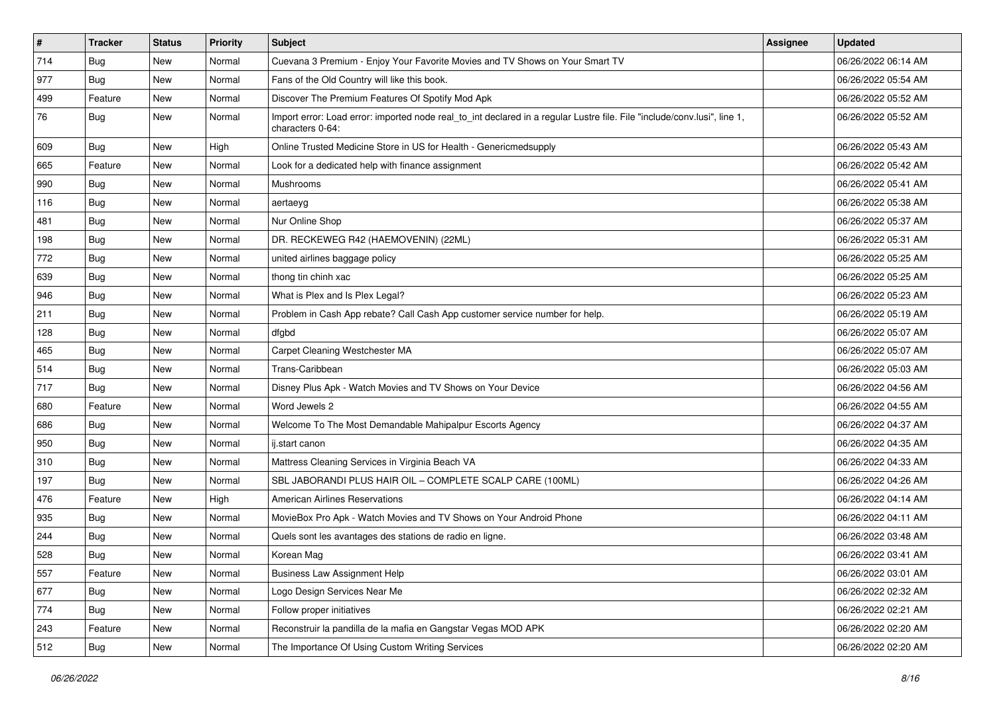| $\sharp$ | <b>Tracker</b> | <b>Status</b> | <b>Priority</b> | Subject                                                                                                                                      | Assignee | <b>Updated</b>      |
|----------|----------------|---------------|-----------------|----------------------------------------------------------------------------------------------------------------------------------------------|----------|---------------------|
| 714      | <b>Bug</b>     | New           | Normal          | Cuevana 3 Premium - Enjoy Your Favorite Movies and TV Shows on Your Smart TV                                                                 |          | 06/26/2022 06:14 AM |
| 977      | <b>Bug</b>     | New           | Normal          | Fans of the Old Country will like this book.                                                                                                 |          | 06/26/2022 05:54 AM |
| 499      | Feature        | New           | Normal          | Discover The Premium Features Of Spotify Mod Apk                                                                                             |          | 06/26/2022 05:52 AM |
| 76       | <b>Bug</b>     | New           | Normal          | Import error: Load error: imported node real_to_int declared in a regular Lustre file. File "include/conv.lusi", line 1,<br>characters 0-64: |          | 06/26/2022 05:52 AM |
| 609      | <b>Bug</b>     | New           | High            | Online Trusted Medicine Store in US for Health - Genericmedsupply                                                                            |          | 06/26/2022 05:43 AM |
| 665      | Feature        | New           | Normal          | Look for a dedicated help with finance assignment                                                                                            |          | 06/26/2022 05:42 AM |
| 990      | Bug            | New           | Normal          | Mushrooms                                                                                                                                    |          | 06/26/2022 05:41 AM |
| 116      | Bug            | New           | Normal          | aertaeyg                                                                                                                                     |          | 06/26/2022 05:38 AM |
| 481      | Bug            | New           | Normal          | Nur Online Shop                                                                                                                              |          | 06/26/2022 05:37 AM |
| 198      | Bug            | New           | Normal          | DR. RECKEWEG R42 (HAEMOVENIN) (22ML)                                                                                                         |          | 06/26/2022 05:31 AM |
| 772      | <b>Bug</b>     | New           | Normal          | united airlines baggage policy                                                                                                               |          | 06/26/2022 05:25 AM |
| 639      | Bug            | New           | Normal          | thong tin chinh xac                                                                                                                          |          | 06/26/2022 05:25 AM |
| 946      | <b>Bug</b>     | New           | Normal          | What is Plex and Is Plex Legal?                                                                                                              |          | 06/26/2022 05:23 AM |
| 211      | <b>Bug</b>     | New           | Normal          | Problem in Cash App rebate? Call Cash App customer service number for help.                                                                  |          | 06/26/2022 05:19 AM |
| 128      | <b>Bug</b>     | New           | Normal          | dfgbd                                                                                                                                        |          | 06/26/2022 05:07 AM |
| 465      | <b>Bug</b>     | New           | Normal          | Carpet Cleaning Westchester MA                                                                                                               |          | 06/26/2022 05:07 AM |
| 514      | Bug            | New           | Normal          | Trans-Caribbean                                                                                                                              |          | 06/26/2022 05:03 AM |
| 717      | <b>Bug</b>     | New           | Normal          | Disney Plus Apk - Watch Movies and TV Shows on Your Device                                                                                   |          | 06/26/2022 04:56 AM |
| 680      | Feature        | New           | Normal          | Word Jewels 2                                                                                                                                |          | 06/26/2022 04:55 AM |
| 686      | Bug            | New           | Normal          | Welcome To The Most Demandable Mahipalpur Escorts Agency                                                                                     |          | 06/26/2022 04:37 AM |
| 950      | Bug            | New           | Normal          | ij.start canon                                                                                                                               |          | 06/26/2022 04:35 AM |
| 310      | Bug            | New           | Normal          | Mattress Cleaning Services in Virginia Beach VA                                                                                              |          | 06/26/2022 04:33 AM |
| 197      | <b>Bug</b>     | New           | Normal          | SBL JABORANDI PLUS HAIR OIL - COMPLETE SCALP CARE (100ML)                                                                                    |          | 06/26/2022 04:26 AM |
| 476      | Feature        | New           | High            | <b>American Airlines Reservations</b>                                                                                                        |          | 06/26/2022 04:14 AM |
| 935      | Bug            | New           | Normal          | MovieBox Pro Apk - Watch Movies and TV Shows on Your Android Phone                                                                           |          | 06/26/2022 04:11 AM |
| 244      | <b>Bug</b>     | New           | Normal          | Quels sont les avantages des stations de radio en ligne.                                                                                     |          | 06/26/2022 03:48 AM |
| 528      | <b>Bug</b>     | New           | Normal          | Korean Mag                                                                                                                                   |          | 06/26/2022 03:41 AM |
| 557      | Feature        | New           | Normal          | <b>Business Law Assignment Help</b>                                                                                                          |          | 06/26/2022 03:01 AM |
| 677      | Bug            | New           | Normal          | Logo Design Services Near Me                                                                                                                 |          | 06/26/2022 02:32 AM |
| 774      | Bug            | New           | Normal          | Follow proper initiatives                                                                                                                    |          | 06/26/2022 02:21 AM |
| 243      | Feature        | New           | Normal          | Reconstruir la pandilla de la mafia en Gangstar Vegas MOD APK                                                                                |          | 06/26/2022 02:20 AM |
| 512      | <b>Bug</b>     | New           | Normal          | The Importance Of Using Custom Writing Services                                                                                              |          | 06/26/2022 02:20 AM |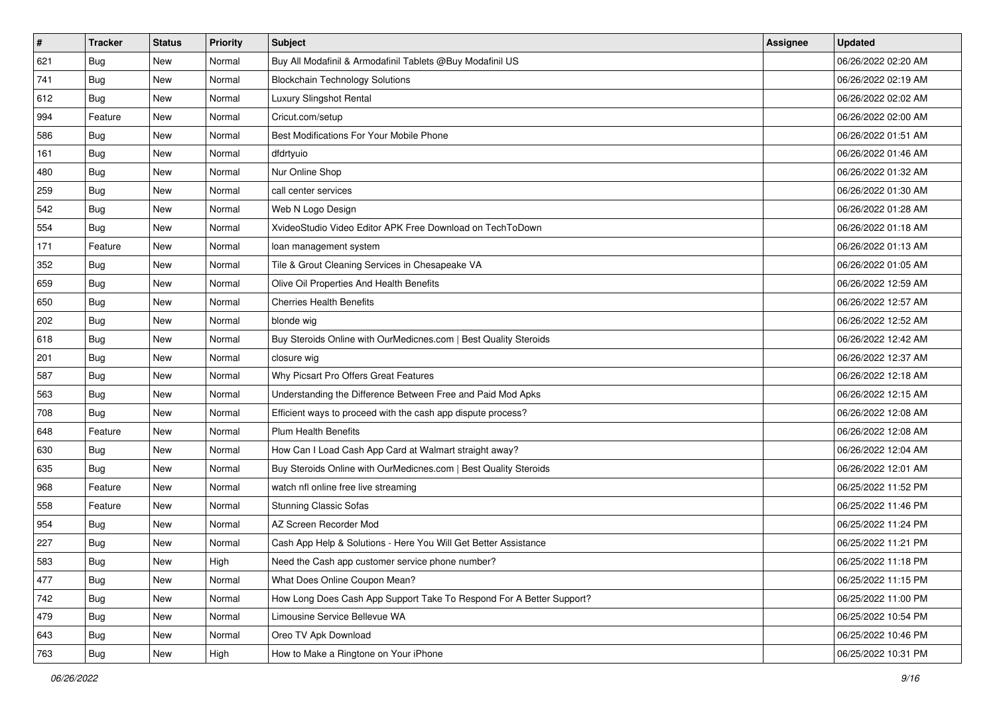| $\sharp$ | <b>Tracker</b> | <b>Status</b> | <b>Priority</b> | Subject                                                              | Assignee | <b>Updated</b>      |
|----------|----------------|---------------|-----------------|----------------------------------------------------------------------|----------|---------------------|
| 621      | <b>Bug</b>     | New           | Normal          | Buy All Modafinil & Armodafinil Tablets @Buy Modafinil US            |          | 06/26/2022 02:20 AM |
| 741      | <b>Bug</b>     | New           | Normal          | <b>Blockchain Technology Solutions</b>                               |          | 06/26/2022 02:19 AM |
| 612      | Bug            | New           | Normal          | Luxury Slingshot Rental                                              |          | 06/26/2022 02:02 AM |
| 994      | Feature        | <b>New</b>    | Normal          | Cricut.com/setup                                                     |          | 06/26/2022 02:00 AM |
| 586      | Bug            | New           | Normal          | Best Modifications For Your Mobile Phone                             |          | 06/26/2022 01:51 AM |
| 161      | <b>Bug</b>     | New           | Normal          | dfdrtyuio                                                            |          | 06/26/2022 01:46 AM |
| 480      | Bug            | New           | Normal          | Nur Online Shop                                                      |          | 06/26/2022 01:32 AM |
| 259      | <b>Bug</b>     | New           | Normal          | call center services                                                 |          | 06/26/2022 01:30 AM |
| 542      | Bug            | New           | Normal          | Web N Logo Design                                                    |          | 06/26/2022 01:28 AM |
| 554      | Bug            | New           | Normal          | XvideoStudio Video Editor APK Free Download on TechToDown            |          | 06/26/2022 01:18 AM |
| 171      | Feature        | New           | Normal          | loan management system                                               |          | 06/26/2022 01:13 AM |
| 352      | Bug            | New           | Normal          | Tile & Grout Cleaning Services in Chesapeake VA                      |          | 06/26/2022 01:05 AM |
| 659      | Bug            | New           | Normal          | Olive Oil Properties And Health Benefits                             |          | 06/26/2022 12:59 AM |
| 650      | Bug            | New           | Normal          | <b>Cherries Health Benefits</b>                                      |          | 06/26/2022 12:57 AM |
| 202      | <b>Bug</b>     | <b>New</b>    | Normal          | blonde wig                                                           |          | 06/26/2022 12:52 AM |
| 618      | Bug            | New           | Normal          | Buy Steroids Online with OurMedicnes.com   Best Quality Steroids     |          | 06/26/2022 12:42 AM |
| 201      | Bug            | New           | Normal          | closure wig                                                          |          | 06/26/2022 12:37 AM |
| 587      | Bug            | New           | Normal          | Why Picsart Pro Offers Great Features                                |          | 06/26/2022 12:18 AM |
| 563      | Bug            | New           | Normal          | Understanding the Difference Between Free and Paid Mod Apks          |          | 06/26/2022 12:15 AM |
| 708      | Bug            | New           | Normal          | Efficient ways to proceed with the cash app dispute process?         |          | 06/26/2022 12:08 AM |
| 648      | Feature        | New           | Normal          | <b>Plum Health Benefits</b>                                          |          | 06/26/2022 12:08 AM |
| 630      | Bug            | New           | Normal          | How Can I Load Cash App Card at Walmart straight away?               |          | 06/26/2022 12:04 AM |
| 635      | Bug            | New           | Normal          | Buy Steroids Online with OurMedicnes.com   Best Quality Steroids     |          | 06/26/2022 12:01 AM |
| 968      | Feature        | New           | Normal          | watch nfl online free live streaming                                 |          | 06/25/2022 11:52 PM |
| 558      | Feature        | New           | Normal          | <b>Stunning Classic Sofas</b>                                        |          | 06/25/2022 11:46 PM |
| 954      | Bug            | New           | Normal          | AZ Screen Recorder Mod                                               |          | 06/25/2022 11:24 PM |
| 227      | <b>Bug</b>     | New           | Normal          | Cash App Help & Solutions - Here You Will Get Better Assistance      |          | 06/25/2022 11:21 PM |
| 583      | I Bug          | New           | High            | Need the Cash app customer service phone number?                     |          | 06/25/2022 11:18 PM |
| 477      | <b>Bug</b>     | New           | Normal          | What Does Online Coupon Mean?                                        |          | 06/25/2022 11:15 PM |
| 742      | <b>Bug</b>     | New           | Normal          | How Long Does Cash App Support Take To Respond For A Better Support? |          | 06/25/2022 11:00 PM |
| 479      | <b>Bug</b>     | New           | Normal          | Limousine Service Bellevue WA                                        |          | 06/25/2022 10:54 PM |
| 643      | Bug            | New           | Normal          | Oreo TV Apk Download                                                 |          | 06/25/2022 10:46 PM |
| 763      | <b>Bug</b>     | New           | High            | How to Make a Ringtone on Your iPhone                                |          | 06/25/2022 10:31 PM |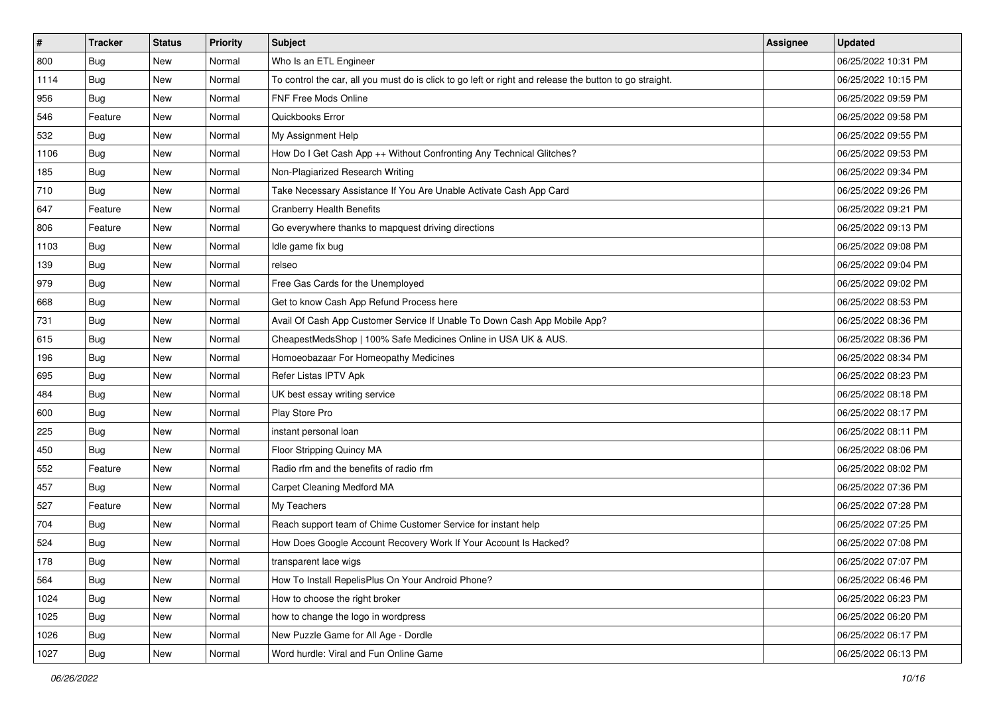| #    | <b>Tracker</b> | <b>Status</b> | <b>Priority</b> | Subject                                                                                                 | Assignee | <b>Updated</b>      |
|------|----------------|---------------|-----------------|---------------------------------------------------------------------------------------------------------|----------|---------------------|
| 800  | <b>Bug</b>     | New           | Normal          | Who Is an ETL Engineer                                                                                  |          | 06/25/2022 10:31 PM |
| 1114 | Bug            | New           | Normal          | To control the car, all you must do is click to go left or right and release the button to go straight. |          | 06/25/2022 10:15 PM |
| 956  | <b>Bug</b>     | New           | Normal          | FNF Free Mods Online                                                                                    |          | 06/25/2022 09:59 PM |
| 546  | Feature        | New           | Normal          | Quickbooks Error                                                                                        |          | 06/25/2022 09:58 PM |
| 532  | <b>Bug</b>     | New           | Normal          | My Assignment Help                                                                                      |          | 06/25/2022 09:55 PM |
| 1106 | <b>Bug</b>     | New           | Normal          | How Do I Get Cash App ++ Without Confronting Any Technical Glitches?                                    |          | 06/25/2022 09:53 PM |
| 185  | <b>Bug</b>     | New           | Normal          | Non-Plagiarized Research Writing                                                                        |          | 06/25/2022 09:34 PM |
| 710  | Bug            | New           | Normal          | Take Necessary Assistance If You Are Unable Activate Cash App Card                                      |          | 06/25/2022 09:26 PM |
| 647  | Feature        | New           | Normal          | <b>Cranberry Health Benefits</b>                                                                        |          | 06/25/2022 09:21 PM |
| 806  | Feature        | New           | Normal          | Go everywhere thanks to mapquest driving directions                                                     |          | 06/25/2022 09:13 PM |
| 1103 | Bug            | New           | Normal          | Idle game fix bug                                                                                       |          | 06/25/2022 09:08 PM |
| 139  | <b>Bug</b>     | New           | Normal          | relseo                                                                                                  |          | 06/25/2022 09:04 PM |
| 979  | Bug            | New           | Normal          | Free Gas Cards for the Unemployed                                                                       |          | 06/25/2022 09:02 PM |
| 668  | <b>Bug</b>     | New           | Normal          | Get to know Cash App Refund Process here                                                                |          | 06/25/2022 08:53 PM |
| 731  | <b>Bug</b>     | New           | Normal          | Avail Of Cash App Customer Service If Unable To Down Cash App Mobile App?                               |          | 06/25/2022 08:36 PM |
| 615  | <b>Bug</b>     | New           | Normal          | CheapestMedsShop   100% Safe Medicines Online in USA UK & AUS.                                          |          | 06/25/2022 08:36 PM |
| 196  | <b>Bug</b>     | New           | Normal          | Homoeobazaar For Homeopathy Medicines                                                                   |          | 06/25/2022 08:34 PM |
| 695  | Bug            | New           | Normal          | Refer Listas IPTV Apk                                                                                   |          | 06/25/2022 08:23 PM |
| 484  | <b>Bug</b>     | New           | Normal          | UK best essay writing service                                                                           |          | 06/25/2022 08:18 PM |
| 600  | <b>Bug</b>     | New           | Normal          | Play Store Pro                                                                                          |          | 06/25/2022 08:17 PM |
| 225  | <b>Bug</b>     | New           | Normal          | instant personal loan                                                                                   |          | 06/25/2022 08:11 PM |
| 450  | <b>Bug</b>     | New           | Normal          | Floor Stripping Quincy MA                                                                               |          | 06/25/2022 08:06 PM |
| 552  | Feature        | New           | Normal          | Radio rfm and the benefits of radio rfm                                                                 |          | 06/25/2022 08:02 PM |
| 457  | <b>Bug</b>     | New           | Normal          | Carpet Cleaning Medford MA                                                                              |          | 06/25/2022 07:36 PM |
| 527  | Feature        | New           | Normal          | My Teachers                                                                                             |          | 06/25/2022 07:28 PM |
| 704  | <b>Bug</b>     | New           | Normal          | Reach support team of Chime Customer Service for instant help                                           |          | 06/25/2022 07:25 PM |
| 524  | <b>Bug</b>     | New           | Normal          | How Does Google Account Recovery Work If Your Account Is Hacked?                                        |          | 06/25/2022 07:08 PM |
| 178  | <b>Bug</b>     | New           | Normal          | transparent lace wigs                                                                                   |          | 06/25/2022 07:07 PM |
| 564  | Bug            | New           | Normal          | How To Install RepelisPlus On Your Android Phone?                                                       |          | 06/25/2022 06:46 PM |
| 1024 | <b>Bug</b>     | New           | Normal          | How to choose the right broker                                                                          |          | 06/25/2022 06:23 PM |
| 1025 | Bug            | New           | Normal          | how to change the logo in wordpress                                                                     |          | 06/25/2022 06:20 PM |
| 1026 | Bug            | New           | Normal          | New Puzzle Game for All Age - Dordle                                                                    |          | 06/25/2022 06:17 PM |
| 1027 | <b>Bug</b>     | New           | Normal          | Word hurdle: Viral and Fun Online Game                                                                  |          | 06/25/2022 06:13 PM |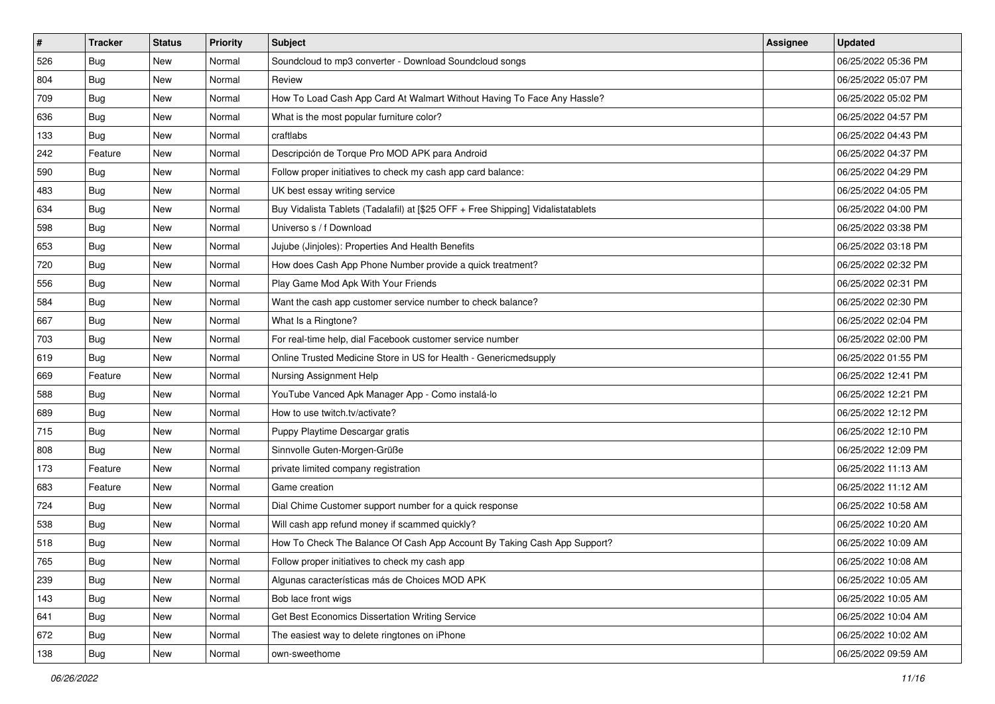| $\sharp$ | <b>Tracker</b> | <b>Status</b> | <b>Priority</b> | Subject                                                                          | Assignee | <b>Updated</b>      |
|----------|----------------|---------------|-----------------|----------------------------------------------------------------------------------|----------|---------------------|
| 526      | Bug            | New           | Normal          | Soundcloud to mp3 converter - Download Soundcloud songs                          |          | 06/25/2022 05:36 PM |
| 804      | <b>Bug</b>     | New           | Normal          | Review                                                                           |          | 06/25/2022 05:07 PM |
| 709      | Bug            | New           | Normal          | How To Load Cash App Card At Walmart Without Having To Face Any Hassle?          |          | 06/25/2022 05:02 PM |
| 636      | Bug            | <b>New</b>    | Normal          | What is the most popular furniture color?                                        |          | 06/25/2022 04:57 PM |
| 133      | Bug            | New           | Normal          | craftlabs                                                                        |          | 06/25/2022 04:43 PM |
| 242      | Feature        | New           | Normal          | Descripción de Torque Pro MOD APK para Android                                   |          | 06/25/2022 04:37 PM |
| 590      | Bug            | New           | Normal          | Follow proper initiatives to check my cash app card balance:                     |          | 06/25/2022 04:29 PM |
| 483      | Bug            | New           | Normal          | UK best essay writing service                                                    |          | 06/25/2022 04:05 PM |
| 634      | Bug            | New           | Normal          | Buy Vidalista Tablets (Tadalafil) at [\$25 OFF + Free Shipping] Vidalistatablets |          | 06/25/2022 04:00 PM |
| 598      | Bug            | New           | Normal          | Universo s / f Download                                                          |          | 06/25/2022 03:38 PM |
| 653      | <b>Bug</b>     | New           | Normal          | Jujube (Jinjoles): Properties And Health Benefits                                |          | 06/25/2022 03:18 PM |
| 720      | Bug            | New           | Normal          | How does Cash App Phone Number provide a quick treatment?                        |          | 06/25/2022 02:32 PM |
| 556      | Bug            | New           | Normal          | Play Game Mod Apk With Your Friends                                              |          | 06/25/2022 02:31 PM |
| 584      | Bug            | New           | Normal          | Want the cash app customer service number to check balance?                      |          | 06/25/2022 02:30 PM |
| 667      | <b>Bug</b>     | <b>New</b>    | Normal          | What Is a Ringtone?                                                              |          | 06/25/2022 02:04 PM |
| 703      | Bug            | New           | Normal          | For real-time help, dial Facebook customer service number                        |          | 06/25/2022 02:00 PM |
| 619      | Bug            | New           | Normal          | Online Trusted Medicine Store in US for Health - Genericmedsupply                |          | 06/25/2022 01:55 PM |
| 669      | Feature        | New           | Normal          | Nursing Assignment Help                                                          |          | 06/25/2022 12:41 PM |
| 588      | Bug            | New           | Normal          | YouTube Vanced Apk Manager App - Como instalá-lo                                 |          | 06/25/2022 12:21 PM |
| 689      | Bug            | New           | Normal          | How to use twitch.tv/activate?                                                   |          | 06/25/2022 12:12 PM |
| 715      | Bug            | New           | Normal          | Puppy Playtime Descargar gratis                                                  |          | 06/25/2022 12:10 PM |
| 808      | Bug            | New           | Normal          | Sinnvolle Guten-Morgen-Grüße                                                     |          | 06/25/2022 12:09 PM |
| 173      | Feature        | New           | Normal          | private limited company registration                                             |          | 06/25/2022 11:13 AM |
| 683      | Feature        | New           | Normal          | Game creation                                                                    |          | 06/25/2022 11:12 AM |
| 724      | Bug            | New           | Normal          | Dial Chime Customer support number for a quick response                          |          | 06/25/2022 10:58 AM |
| 538      | Bug            | New           | Normal          | Will cash app refund money if scammed quickly?                                   |          | 06/25/2022 10:20 AM |
| 518      | Bug            | New           | Normal          | How To Check The Balance Of Cash App Account By Taking Cash App Support?         |          | 06/25/2022 10:09 AM |
| 765      | I Bug          | New           | Normal          | Follow proper initiatives to check my cash app                                   |          | 06/25/2022 10:08 AM |
| 239      | <b>Bug</b>     | New           | Normal          | Algunas características más de Choices MOD APK                                   |          | 06/25/2022 10:05 AM |
| 143      | Bug            | New           | Normal          | Bob lace front wigs                                                              |          | 06/25/2022 10:05 AM |
| 641      | <b>Bug</b>     | New           | Normal          | Get Best Economics Dissertation Writing Service                                  |          | 06/25/2022 10:04 AM |
| 672      | Bug            | New           | Normal          | The easiest way to delete ringtones on iPhone                                    |          | 06/25/2022 10:02 AM |
| 138      | <b>Bug</b>     | New           | Normal          | own-sweethome                                                                    |          | 06/25/2022 09:59 AM |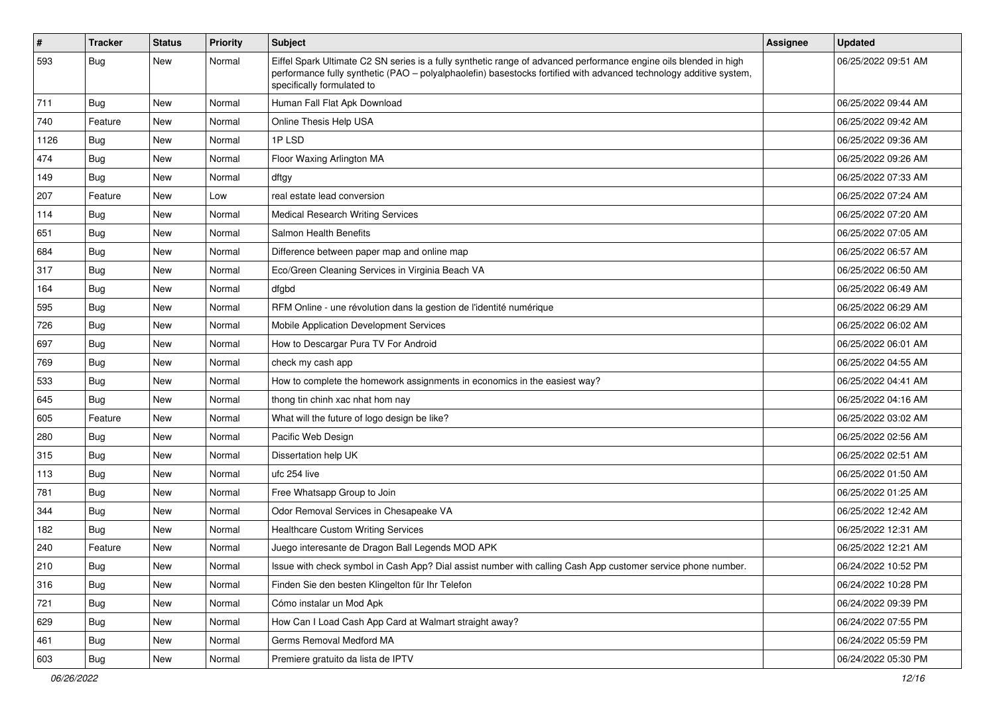| $\sharp$ | <b>Tracker</b> | <b>Status</b> | <b>Priority</b> | Subject                                                                                                                                                                                                                                                               | Assignee | <b>Updated</b>      |
|----------|----------------|---------------|-----------------|-----------------------------------------------------------------------------------------------------------------------------------------------------------------------------------------------------------------------------------------------------------------------|----------|---------------------|
| 593      | <b>Bug</b>     | New           | Normal          | Eiffel Spark Ultimate C2 SN series is a fully synthetic range of advanced performance engine oils blended in high<br>performance fully synthetic (PAO - polyalphaolefin) basestocks fortified with advanced technology additive system,<br>specifically formulated to |          | 06/25/2022 09:51 AM |
| 711      | Bug            | New           | Normal          | Human Fall Flat Apk Download                                                                                                                                                                                                                                          |          | 06/25/2022 09:44 AM |
| 740      | Feature        | <b>New</b>    | Normal          | Online Thesis Help USA                                                                                                                                                                                                                                                |          | 06/25/2022 09:42 AM |
| 1126     | Bug            | New           | Normal          | 1PLSD                                                                                                                                                                                                                                                                 |          | 06/25/2022 09:36 AM |
| 474      | Bug            | New           | Normal          | Floor Waxing Arlington MA                                                                                                                                                                                                                                             |          | 06/25/2022 09:26 AM |
| 149      | Bug            | New           | Normal          | dftgy                                                                                                                                                                                                                                                                 |          | 06/25/2022 07:33 AM |
| 207      | Feature        | New           | Low             | real estate lead conversion                                                                                                                                                                                                                                           |          | 06/25/2022 07:24 AM |
| 114      | Bug            | <b>New</b>    | Normal          | <b>Medical Research Writing Services</b>                                                                                                                                                                                                                              |          | 06/25/2022 07:20 AM |
| 651      | <b>Bug</b>     | New           | Normal          | Salmon Health Benefits                                                                                                                                                                                                                                                |          | 06/25/2022 07:05 AM |
| 684      | Bug            | <b>New</b>    | Normal          | Difference between paper map and online map                                                                                                                                                                                                                           |          | 06/25/2022 06:57 AM |
| 317      | Bug            | New           | Normal          | Eco/Green Cleaning Services in Virginia Beach VA                                                                                                                                                                                                                      |          | 06/25/2022 06:50 AM |
| 164      | <b>Bug</b>     | <b>New</b>    | Normal          | dfgbd                                                                                                                                                                                                                                                                 |          | 06/25/2022 06:49 AM |
| 595      | Bug            | New           | Normal          | RFM Online - une révolution dans la gestion de l'identité numérique                                                                                                                                                                                                   |          | 06/25/2022 06:29 AM |
| 726      | Bug            | <b>New</b>    | Normal          | Mobile Application Development Services                                                                                                                                                                                                                               |          | 06/25/2022 06:02 AM |
| 697      | Bug            | New           | Normal          | How to Descargar Pura TV For Android                                                                                                                                                                                                                                  |          | 06/25/2022 06:01 AM |
| 769      | Bug            | <b>New</b>    | Normal          | check my cash app                                                                                                                                                                                                                                                     |          | 06/25/2022 04:55 AM |
| 533      | Bug            | New           | Normal          | How to complete the homework assignments in economics in the easiest way?                                                                                                                                                                                             |          | 06/25/2022 04:41 AM |
| 645      | Bug            | New           | Normal          | thong tin chinh xac nhat hom nay                                                                                                                                                                                                                                      |          | 06/25/2022 04:16 AM |
| 605      | Feature        | New           | Normal          | What will the future of logo design be like?                                                                                                                                                                                                                          |          | 06/25/2022 03:02 AM |
| 280      | Bug            | New           | Normal          | Pacific Web Design                                                                                                                                                                                                                                                    |          | 06/25/2022 02:56 AM |
| 315      | <b>Bug</b>     | <b>New</b>    | Normal          | Dissertation help UK                                                                                                                                                                                                                                                  |          | 06/25/2022 02:51 AM |
| 113      | Bug            | New           | Normal          | ufc 254 live                                                                                                                                                                                                                                                          |          | 06/25/2022 01:50 AM |
| 781      | Bug            | <b>New</b>    | Normal          | Free Whatsapp Group to Join                                                                                                                                                                                                                                           |          | 06/25/2022 01:25 AM |
| 344      | Bug            | <b>New</b>    | Normal          | Odor Removal Services in Chesapeake VA                                                                                                                                                                                                                                |          | 06/25/2022 12:42 AM |
| 182      | Bug            | New           | Normal          | <b>Healthcare Custom Writing Services</b>                                                                                                                                                                                                                             |          | 06/25/2022 12:31 AM |
| 240      | Feature        | <b>New</b>    | Normal          | Juego interesante de Dragon Ball Legends MOD APK                                                                                                                                                                                                                      |          | 06/25/2022 12:21 AM |
| 210      | Bug            | New           | Normal          | Issue with check symbol in Cash App? Dial assist number with calling Cash App customer service phone number.                                                                                                                                                          |          | 06/24/2022 10:52 PM |
| 316      | <b>Bug</b>     | New           | Normal          | Finden Sie den besten Klingelton für Ihr Telefon                                                                                                                                                                                                                      |          | 06/24/2022 10:28 PM |
| 721      | <b>Bug</b>     | New           | Normal          | Cómo instalar un Mod Apk                                                                                                                                                                                                                                              |          | 06/24/2022 09:39 PM |
| 629      | <b>Bug</b>     | New           | Normal          | How Can I Load Cash App Card at Walmart straight away?                                                                                                                                                                                                                |          | 06/24/2022 07:55 PM |
| 461      | <b>Bug</b>     | New           | Normal          | Germs Removal Medford MA                                                                                                                                                                                                                                              |          | 06/24/2022 05:59 PM |
| 603      | <b>Bug</b>     | New           | Normal          | Premiere gratuito da lista de IPTV                                                                                                                                                                                                                                    |          | 06/24/2022 05:30 PM |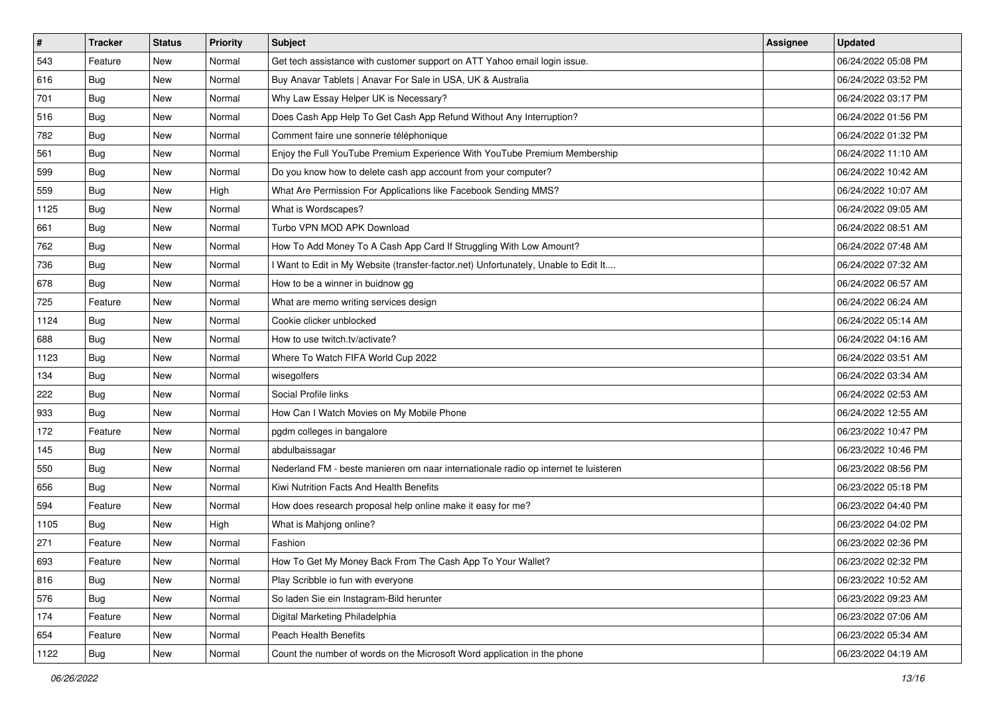| $\vert$ # | <b>Tracker</b> | <b>Status</b> | <b>Priority</b> | Subject                                                                             | <b>Assignee</b> | <b>Updated</b>      |
|-----------|----------------|---------------|-----------------|-------------------------------------------------------------------------------------|-----------------|---------------------|
| 543       | Feature        | New           | Normal          | Get tech assistance with customer support on ATT Yahoo email login issue.           |                 | 06/24/2022 05:08 PM |
| 616       | <b>Bug</b>     | New           | Normal          | Buy Anavar Tablets   Anavar For Sale in USA, UK & Australia                         |                 | 06/24/2022 03:52 PM |
| 701       | Bug            | New           | Normal          | Why Law Essay Helper UK is Necessary?                                               |                 | 06/24/2022 03:17 PM |
| 516       | Bug            | New           | Normal          | Does Cash App Help To Get Cash App Refund Without Any Interruption?                 |                 | 06/24/2022 01:56 PM |
| 782       | <b>Bug</b>     | <b>New</b>    | Normal          | Comment faire une sonnerie téléphonique                                             |                 | 06/24/2022 01:32 PM |
| 561       | Bug            | New           | Normal          | Enjoy the Full YouTube Premium Experience With YouTube Premium Membership           |                 | 06/24/2022 11:10 AM |
| 599       | <b>Bug</b>     | New           | Normal          | Do you know how to delete cash app account from your computer?                      |                 | 06/24/2022 10:42 AM |
| 559       | Bug            | New           | High            | What Are Permission For Applications like Facebook Sending MMS?                     |                 | 06/24/2022 10:07 AM |
| 1125      | <b>Bug</b>     | New           | Normal          | What is Wordscapes?                                                                 |                 | 06/24/2022 09:05 AM |
| 661       | <b>Bug</b>     | New           | Normal          | Turbo VPN MOD APK Download                                                          |                 | 06/24/2022 08:51 AM |
| 762       | <b>Bug</b>     | New           | Normal          | How To Add Money To A Cash App Card If Struggling With Low Amount?                  |                 | 06/24/2022 07:48 AM |
| 736       | <b>Bug</b>     | New           | Normal          | I Want to Edit in My Website (transfer-factor.net) Unfortunately, Unable to Edit It |                 | 06/24/2022 07:32 AM |
| 678       | Bug            | New           | Normal          | How to be a winner in buidnow gg                                                    |                 | 06/24/2022 06:57 AM |
| 725       | Feature        | New           | Normal          | What are memo writing services design                                               |                 | 06/24/2022 06:24 AM |
| 1124      | Bug            | New           | Normal          | Cookie clicker unblocked                                                            |                 | 06/24/2022 05:14 AM |
| 688       | Bug            | New           | Normal          | How to use twitch.tv/activate?                                                      |                 | 06/24/2022 04:16 AM |
| 1123      | <b>Bug</b>     | New           | Normal          | Where To Watch FIFA World Cup 2022                                                  |                 | 06/24/2022 03:51 AM |
| 134       | Bug            | New           | Normal          | wisegolfers                                                                         |                 | 06/24/2022 03:34 AM |
| 222       | <b>Bug</b>     | New           | Normal          | Social Profile links                                                                |                 | 06/24/2022 02:53 AM |
| 933       | Bug            | New           | Normal          | How Can I Watch Movies on My Mobile Phone                                           |                 | 06/24/2022 12:55 AM |
| 172       | Feature        | New           | Normal          | pgdm colleges in bangalore                                                          |                 | 06/23/2022 10:47 PM |
| 145       | Bug            | New           | Normal          | abdulbaissagar                                                                      |                 | 06/23/2022 10:46 PM |
| 550       | Bug            | New           | Normal          | Nederland FM - beste manieren om naar internationale radio op internet te luisteren |                 | 06/23/2022 08:56 PM |
| 656       | Bug            | New           | Normal          | Kiwi Nutrition Facts And Health Benefits                                            |                 | 06/23/2022 05:18 PM |
| 594       | Feature        | New           | Normal          | How does research proposal help online make it easy for me?                         |                 | 06/23/2022 04:40 PM |
| 1105      | <b>Bug</b>     | New           | High            | What is Mahjong online?                                                             |                 | 06/23/2022 04:02 PM |
| 271       | Feature        | New           | Normal          | Fashion                                                                             |                 | 06/23/2022 02:36 PM |
| 693       | Feature        | New           | Normal          | How To Get My Money Back From The Cash App To Your Wallet?                          |                 | 06/23/2022 02:32 PM |
| 816       | Bug            | New           | Normal          | Play Scribble io fun with everyone                                                  |                 | 06/23/2022 10:52 AM |
| 576       | Bug            | New           | Normal          | So laden Sie ein Instagram-Bild herunter                                            |                 | 06/23/2022 09:23 AM |
| 174       | Feature        | New           | Normal          | Digital Marketing Philadelphia                                                      |                 | 06/23/2022 07:06 AM |
| 654       | Feature        | New           | Normal          | Peach Health Benefits                                                               |                 | 06/23/2022 05:34 AM |
| 1122      | Bug            | New           | Normal          | Count the number of words on the Microsoft Word application in the phone            |                 | 06/23/2022 04:19 AM |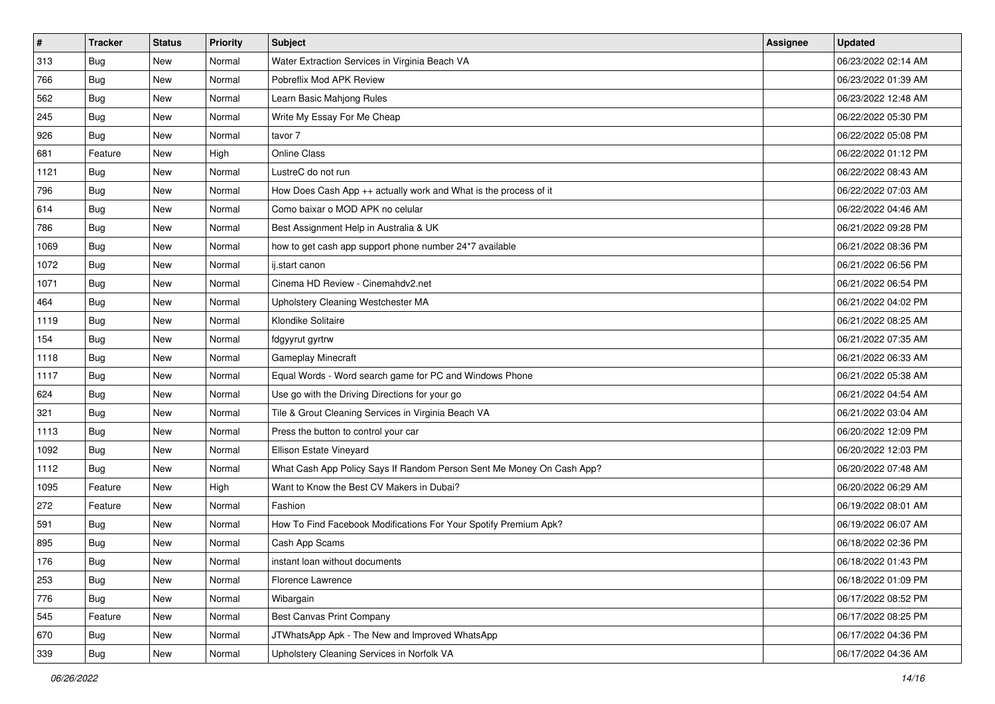| $\sharp$ | <b>Tracker</b> | <b>Status</b> | <b>Priority</b> | Subject                                                               | Assignee | <b>Updated</b>      |
|----------|----------------|---------------|-----------------|-----------------------------------------------------------------------|----------|---------------------|
| 313      | <b>Bug</b>     | New           | Normal          | Water Extraction Services in Virginia Beach VA                        |          | 06/23/2022 02:14 AM |
| 766      | <b>Bug</b>     | New           | Normal          | Pobreflix Mod APK Review                                              |          | 06/23/2022 01:39 AM |
| 562      | Bug            | New           | Normal          | Learn Basic Mahjong Rules                                             |          | 06/23/2022 12:48 AM |
| 245      | Bug            | New           | Normal          | Write My Essay For Me Cheap                                           |          | 06/22/2022 05:30 PM |
| 926      | Bug            | New           | Normal          | tavor 7                                                               |          | 06/22/2022 05:08 PM |
| 681      | Feature        | New           | High            | <b>Online Class</b>                                                   |          | 06/22/2022 01:12 PM |
| 1121     | Bug            | New           | Normal          | LustreC do not run                                                    |          | 06/22/2022 08:43 AM |
| 796      | <b>Bug</b>     | New           | Normal          | How Does Cash App ++ actually work and What is the process of it      |          | 06/22/2022 07:03 AM |
| 614      | Bug            | New           | Normal          | Como baixar o MOD APK no celular                                      |          | 06/22/2022 04:46 AM |
| 786      | Bug            | New           | Normal          | Best Assignment Help in Australia & UK                                |          | 06/21/2022 09:28 PM |
| 1069     | <b>Bug</b>     | New           | Normal          | how to get cash app support phone number 24*7 available               |          | 06/21/2022 08:36 PM |
| 1072     | Bug            | New           | Normal          | ij.start canon                                                        |          | 06/21/2022 06:56 PM |
| 1071     | Bug            | New           | Normal          | Cinema HD Review - Cinemahdv2.net                                     |          | 06/21/2022 06:54 PM |
| 464      | Bug            | New           | Normal          | Upholstery Cleaning Westchester MA                                    |          | 06/21/2022 04:02 PM |
| 1119     | <b>Bug</b>     | New           | Normal          | Klondike Solitaire                                                    |          | 06/21/2022 08:25 AM |
| 154      | Bug            | New           | Normal          | fdgyyrut gyrtrw                                                       |          | 06/21/2022 07:35 AM |
| 1118     | <b>Bug</b>     | New           | Normal          | Gameplay Minecraft                                                    |          | 06/21/2022 06:33 AM |
| 1117     | Bug            | New           | Normal          | Equal Words - Word search game for PC and Windows Phone               |          | 06/21/2022 05:38 AM |
| 624      | Bug            | New           | Normal          | Use go with the Driving Directions for your go                        |          | 06/21/2022 04:54 AM |
| 321      | Bug            | New           | Normal          | Tile & Grout Cleaning Services in Virginia Beach VA                   |          | 06/21/2022 03:04 AM |
| 1113     | <b>Bug</b>     | New           | Normal          | Press the button to control your car                                  |          | 06/20/2022 12:09 PM |
| 1092     | Bug            | New           | Normal          | Ellison Estate Vineyard                                               |          | 06/20/2022 12:03 PM |
| 1112     | Bug            | New           | Normal          | What Cash App Policy Says If Random Person Sent Me Money On Cash App? |          | 06/20/2022 07:48 AM |
| 1095     | Feature        | New           | High            | Want to Know the Best CV Makers in Dubai?                             |          | 06/20/2022 06:29 AM |
| 272      | Feature        | New           | Normal          | Fashion                                                               |          | 06/19/2022 08:01 AM |
| 591      | Bug            | New           | Normal          | How To Find Facebook Modifications For Your Spotify Premium Apk?      |          | 06/19/2022 06:07 AM |
| 895      | <b>Bug</b>     | New           | Normal          | Cash App Scams                                                        |          | 06/18/2022 02:36 PM |
| 176      | I Bug          | New           | Normal          | instant loan without documents                                        |          | 06/18/2022 01:43 PM |
| 253      | <b>Bug</b>     | New           | Normal          | Florence Lawrence                                                     |          | 06/18/2022 01:09 PM |
| 776      | <b>Bug</b>     | New           | Normal          | Wibargain                                                             |          | 06/17/2022 08:52 PM |
| 545      | Feature        | New           | Normal          | <b>Best Canvas Print Company</b>                                      |          | 06/17/2022 08:25 PM |
| 670      | <b>Bug</b>     | New           | Normal          | JTWhatsApp Apk - The New and Improved WhatsApp                        |          | 06/17/2022 04:36 PM |
| 339      | <b>Bug</b>     | New           | Normal          | Upholstery Cleaning Services in Norfolk VA                            |          | 06/17/2022 04:36 AM |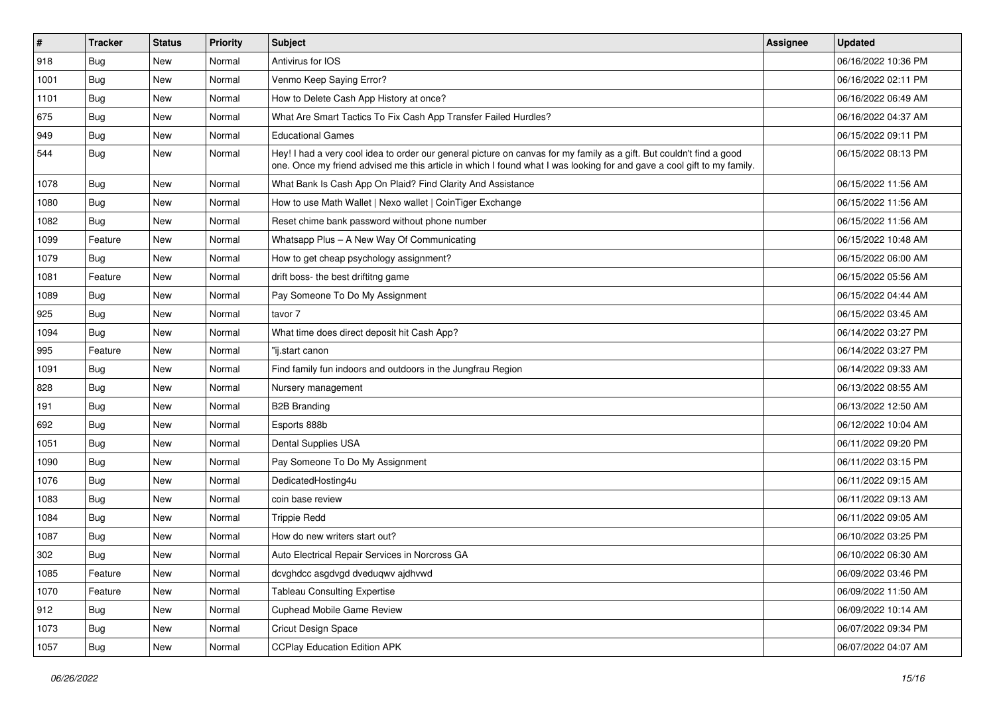| $\vert$ # | <b>Tracker</b> | <b>Status</b> | <b>Priority</b> | Subject                                                                                                                                                                                                                                        | <b>Assignee</b> | <b>Updated</b>      |
|-----------|----------------|---------------|-----------------|------------------------------------------------------------------------------------------------------------------------------------------------------------------------------------------------------------------------------------------------|-----------------|---------------------|
| 918       | Bug            | New           | Normal          | Antivirus for IOS                                                                                                                                                                                                                              |                 | 06/16/2022 10:36 PM |
| 1001      | Bug            | New           | Normal          | Venmo Keep Saying Error?                                                                                                                                                                                                                       |                 | 06/16/2022 02:11 PM |
| 1101      | Bug            | New           | Normal          | How to Delete Cash App History at once?                                                                                                                                                                                                        |                 | 06/16/2022 06:49 AM |
| 675       | <b>Bug</b>     | <b>New</b>    | Normal          | What Are Smart Tactics To Fix Cash App Transfer Failed Hurdles?                                                                                                                                                                                |                 | 06/16/2022 04:37 AM |
| 949       | Bug            | New           | Normal          | <b>Educational Games</b>                                                                                                                                                                                                                       |                 | 06/15/2022 09:11 PM |
| 544       | Bug            | New           | Normal          | Hey! I had a very cool idea to order our general picture on canvas for my family as a gift. But couldn't find a good<br>one. Once my friend advised me this article in which I found what I was looking for and gave a cool gift to my family. |                 | 06/15/2022 08:13 PM |
| 1078      | Bug            | <b>New</b>    | Normal          | What Bank Is Cash App On Plaid? Find Clarity And Assistance                                                                                                                                                                                    |                 | 06/15/2022 11:56 AM |
| 1080      | Bug            | New           | Normal          | How to use Math Wallet   Nexo wallet   CoinTiger Exchange                                                                                                                                                                                      |                 | 06/15/2022 11:56 AM |
| 1082      | Bug            | <b>New</b>    | Normal          | Reset chime bank password without phone number                                                                                                                                                                                                 |                 | 06/15/2022 11:56 AM |
| 1099      | Feature        | New           | Normal          | Whatsapp Plus - A New Way Of Communicating                                                                                                                                                                                                     |                 | 06/15/2022 10:48 AM |
| 1079      | <b>Bug</b>     | New           | Normal          | How to get cheap psychology assignment?                                                                                                                                                                                                        |                 | 06/15/2022 06:00 AM |
| 1081      | Feature        | New           | Normal          | drift boss- the best driftitng game                                                                                                                                                                                                            |                 | 06/15/2022 05:56 AM |
| 1089      | Bug            | New           | Normal          | Pay Someone To Do My Assignment                                                                                                                                                                                                                |                 | 06/15/2022 04:44 AM |
| 925       | Bug            | <b>New</b>    | Normal          | tavor 7                                                                                                                                                                                                                                        |                 | 06/15/2022 03:45 AM |
| 1094      | Bug            | New           | Normal          | What time does direct deposit hit Cash App?                                                                                                                                                                                                    |                 | 06/14/2022 03:27 PM |
| 995       | Feature        | <b>New</b>    | Normal          | "ij.start canon                                                                                                                                                                                                                                |                 | 06/14/2022 03:27 PM |
| 1091      | Bug            | New           | Normal          | Find family fun indoors and outdoors in the Jungfrau Region                                                                                                                                                                                    |                 | 06/14/2022 09:33 AM |
| 828       | <b>Bug</b>     | New           | Normal          | Nursery management                                                                                                                                                                                                                             |                 | 06/13/2022 08:55 AM |
| 191       | Bug            | New           | Normal          | <b>B2B Branding</b>                                                                                                                                                                                                                            |                 | 06/13/2022 12:50 AM |
| 692       | Bug            | <b>New</b>    | Normal          | Esports 888b                                                                                                                                                                                                                                   |                 | 06/12/2022 10:04 AM |
| 1051      | Bug            | New           | Normal          | Dental Supplies USA                                                                                                                                                                                                                            |                 | 06/11/2022 09:20 PM |
| 1090      | Bug            | New           | Normal          | Pay Someone To Do My Assignment                                                                                                                                                                                                                |                 | 06/11/2022 03:15 PM |
| 1076      | <b>Bug</b>     | New           | Normal          | DedicatedHosting4u                                                                                                                                                                                                                             |                 | 06/11/2022 09:15 AM |
| 1083      | <b>Bug</b>     | New           | Normal          | coin base review                                                                                                                                                                                                                               |                 | 06/11/2022 09:13 AM |
| 1084      | Bug            | New           | Normal          | <b>Trippie Redd</b>                                                                                                                                                                                                                            |                 | 06/11/2022 09:05 AM |
| 1087      | Bug            | New           | Normal          | How do new writers start out?                                                                                                                                                                                                                  |                 | 06/10/2022 03:25 PM |
| 302       | <b>Bug</b>     | New           | Normal          | Auto Electrical Repair Services in Norcross GA                                                                                                                                                                                                 |                 | 06/10/2022 06:30 AM |
| 1085      | Feature        | New           | Normal          | dcvghdcc asgdvgd dveduqwv ajdhvwd                                                                                                                                                                                                              |                 | 06/09/2022 03:46 PM |
| 1070      | Feature        | New           | Normal          | <b>Tableau Consulting Expertise</b>                                                                                                                                                                                                            |                 | 06/09/2022 11:50 AM |
| 912       | Bug            | New           | Normal          | Cuphead Mobile Game Review                                                                                                                                                                                                                     |                 | 06/09/2022 10:14 AM |
| 1073      | Bug            | New           | Normal          | <b>Cricut Design Space</b>                                                                                                                                                                                                                     |                 | 06/07/2022 09:34 PM |
| 1057      | Bug            | New           | Normal          | <b>CCPlay Education Edition APK</b>                                                                                                                                                                                                            |                 | 06/07/2022 04:07 AM |